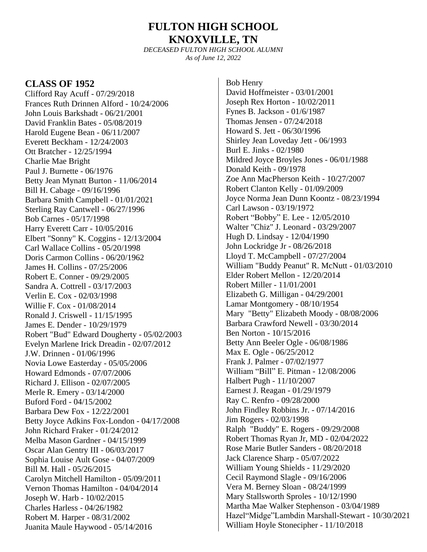# **FULTON HIGH SCHOOL KNOXVILLE, TN**

*DECEASED FULTON HIGH SCHOOL ALUMNI As of June 12, 2022*

#### **CLASS OF 1952**

Clifford Ray Acuff - 07/29/2018 Frances Ruth Drinnen Alford - 10/24/2006 John Louis Barkshadt - 06/21/2001 David Franklin Bates - 05/08/2019 Harold Eugene Bean - 06/11/2007 Everett Beckham - 12/24/2003 Ott Bratcher - 12/25/1994 Charlie Mae Bright Paul J. Burnette - 06/1976 Betty Jean Mynatt Burton - 11/06/2014 Bill H. Cabage - 09/16/1996 Barbara Smith Campbell - 01/01/2021 Sterling Ray Cantwell - 06/27/1996 Bob Carnes - 05/17/1998 Harry Everett Carr - 10/05/2016 Elbert "Sonny" K. Coggins - 12/13/2004 Carl Wallace Collins - 05/20/1998 Doris Carmon Collins - 06/20/1962 James H. Collins - 07/25/2006 Robert E. Conner - 09/29/2005 Sandra A. Cottrell - 03/17/2003 Verlin E. Cox - 02/03/1998 Willie F. Cox - 01/08/2014 Ronald J. Criswell - 11/15/1995 James E. Dender - 10/29/1979 Robert "Bud" Edward Dougherty - 05/02/2003 Evelyn Marlene Irick Dreadin - 02/07/2012 J.W. Drinnen - 01/06/1996 Novia Lowe Easterday - 05/05/2006 Howard Edmonds - 07/07/2006 Richard J. Ellison - 02/07/2005 Merle R. Emery - 03/14/2000 Buford Ford - 04/15/2002 Barbara Dew Fox - 12/22/2001 Betty Joyce Adkins Fox-London - 04/17/2008 John Richard Fraker - 01/24/2012 Melba Mason Gardner - 04/15/1999 Oscar Alan Gentry III - 06/03/2017 Sophia Louise Ault Gose - 04/07/2009 Bill M. Hall - 05/26/2015 Carolyn Mitchell Hamilton - 05/09/2011 Vernon Thomas Hamilton - 04/04/2014 Joseph W. Harb - 10/02/2015 Charles Harless - 04/26/1982 Robert M. Harper - 08/31/2002 Juanita Maule Haywood - 05/14/2016

Bob Henry David Hoffmeister - 03/01/2001 Joseph Rex Horton - 10/02/2011 Fynes B. Jackson - 01/6/1987 Thomas Jensen - 07/24/2018 Howard S. Jett - 06/30/1996 Shirley Jean Loveday Jett - 06/1993 Burl E. Jinks - 02/1980 Mildred Joyce Broyles Jones - 06/01/1988 Donald Keith - 09/1978 Zoe Ann MacPherson Keith - 10/27/2007 Robert Clanton Kelly - 01/09/2009 Joyce Norma Jean Dunn Koontz - 08/23/1994 Carl Lawson - 03/19/1972 Robert "Bobby" E. Lee - 12/05/2010 Walter "Chiz" J. Leonard - 03/29/2007 Hugh D. Lindsay - 12/04/1990 John Lockridge Jr - 08/26/2018 Lloyd T. McCampbell - 07/27/2004 William "Buddy Peanut" R. McNutt - 01/03/2010 Elder Robert Mellon - 12/20/2014 Robert Miller - 11/01/2001 Elizabeth G. Milligan - 04/29/2001 Lamar Montgomery - 08/10/1954 Mary "Betty" Elizabeth Moody - 08/08/2006 Barbara Crawford Newell - 03/30/2014 Ben Norton - 10/15/2016 Betty Ann Beeler Ogle - 06/08/1986 Max E. Ogle - 06/25/2012 Frank J. Palmer - 07/02/1977 William "Bill" E. Pitman - 12/08/2006 Halbert Pugh - 11/10/2007 Earnest J. Reagan - 01/29/1979 Ray C. Renfro - 09/28/2000 John Findley Robbins Jr. - 07/14/2016 Jim Rogers - 02/03/1998 Ralph "Buddy" E. Rogers - 09/29/2008 Robert Thomas Ryan Jr, MD - 02/04/2022 Rose Marie Butler Sanders - 08/20/2018 Jack Clarence Sharp - 05/07/2022 William Young Shields - 11/29/2020 Cecil Raymond Slagle - 09/16/2006 Vera M. Berney Sloan - 08/24/1999 Mary Stallsworth Sproles - 10/12/1990 Martha Mae Walker Stephenson - 03/04/1989 Hazel"Midge"Lambdin Marshall-Stewart - 10/30/2021 William Hoyle Stonecipher - 11/10/2018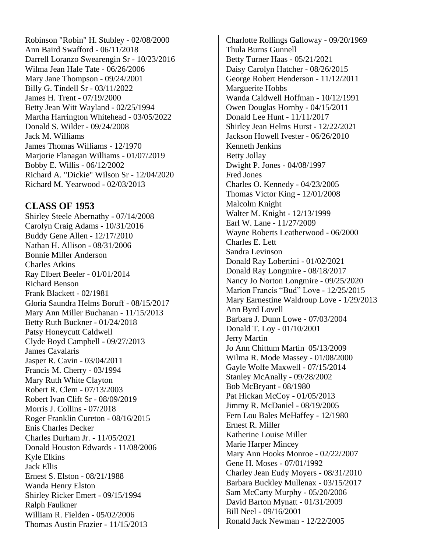Robinson "Robin" H. Stubley - 02/08/2000 Ann Baird Swafford - 06/11/2018 Darrell Loranzo Swearengin Sr - 10/23/2016 Wilma Jean Hale Tate - 06/26/2006 Mary Jane Thompson - 09/24/2001 Billy G. Tindell Sr - 03/11/2022 James H. Trent - 07/19/2000 Betty Jean Witt Wayland - 02/25/1994 Martha Harrington Whitehead - 03/05/2022 Donald S. Wilder - 09/24/2008 Jack M. Williams James Thomas Williams - 12/1970 Marjorie Flanagan Williams - 01/07/2019 Bobby E. Willis - 06/12/2002 Richard A. "Dickie" Wilson Sr - 12/04/2020 Richard M. Yearwood - 02/03/2013

### **CLASS OF 1953**

Shirley Steele Abernathy - 07/14/2008 Carolyn Craig Adams - 10/31/2016 Buddy Gene Allen - 12/17/2010 Nathan H. Allison - 08/31/2006 Bonnie Miller Anderson Charles Atkins Ray Elbert Beeler - 01/01/2014 Richard Benson Frank Blackett - 02/1981 Gloria Saundra Helms Boruff - 08/15/2017 Mary Ann Miller Buchanan - 11/15/2013 Betty Ruth Buckner - 01/24/2018 Patsy Honeycutt Caldwell Clyde Boyd Campbell - 09/27/2013 James Cavalaris Jasper R. Cavin - 03/04/2011 Francis M. Cherry - 03/1994 Mary Ruth White Clayton Robert R. Clem - 07/13/2003 Robert Ivan Clift Sr - 08/09/2019 Morris J. Collins - 07/2018 Roger Franklin Cureton - 08/16/2015 Enis Charles Decker Charles Durham Jr. - 11/05/2021 Donald Houston Edwards - 11/08/2006 Kyle Elkins Jack Ellis Ernest S. Elston - 08/21/1988 Wanda Henry Elston Shirley Ricker Emert - 09/15/1994 Ralph Faulkner William R. Fielden - 05/02/2006 Thomas Austin Frazier - 11/15/2013

Charlotte Rollings Galloway - 09/20/1969 Thula Burns Gunnell Betty Turner Haas - 05/21/2021 Daisy Carolyn Hatcher - 08/26/2015 George Robert Henderson - 11/12/2011 Marguerite Hobbs Wanda Caldwell Hoffman - 10/12/1991 Owen Douglas Hornby - 04/15/2011 Donald Lee Hunt - 11/11/2017 Shirley Jean Helms Hurst - 12/22/2021 Jackson Howell Ivester - 06/26/2010 Kenneth Jenkins Betty Jollay Dwight P. Jones - 04/08/1997 Fred Jones Charles O. Kennedy - 04/23/2005 Thomas Victor King - 12/01/2008 Malcolm Knight Walter M. Knight - 12/13/1999 Earl W. Lane - 11/27/2009 Wayne Roberts Leatherwood - 06/2000 Charles E. Lett Sandra Levinson Donald Ray Lobertini - 01/02/2021 Donald Ray Longmire - 08/18/2017 Nancy Jo Norton Longmire - 09/25/2020 Marion Francis "Bud" Love - 12/25/2015 Mary Earnestine Waldroup Love - 1/29/2013 Ann Byrd Lovell Barbara J. Dunn Lowe - 07/03/2004 Donald T. Loy - 01/10/2001 Jerry Martin Jo Ann Chittum Martin 05/13/2009 Wilma R. Mode Massey - 01/08/2000 Gayle Wolfe Maxwell - 07/15/2014 Stanley McAnally - 09/28/2002 Bob McBryant - 08/1980 Pat Hickan McCoy - 01/05/2013 Jimmy R. McDaniel - 08/19/2005 Fern Lou Bales MeHaffey - 12/1980 Ernest R. Miller Katherine Louise Miller Marie Harper Mincey Mary Ann Hooks Monroe - 02/22/2007 Gene H. Moses - 07/01/1992 Charley Jean Eudy Moyers - 08/31/2010 Barbara Buckley Mullenax - 03/15/2017 Sam McCarty Murphy - 05/20/2006 David Barton Mynatt - 01/31/2009 Bill Neel - 09/16/2001 Ronald Jack Newman - 12/22/2005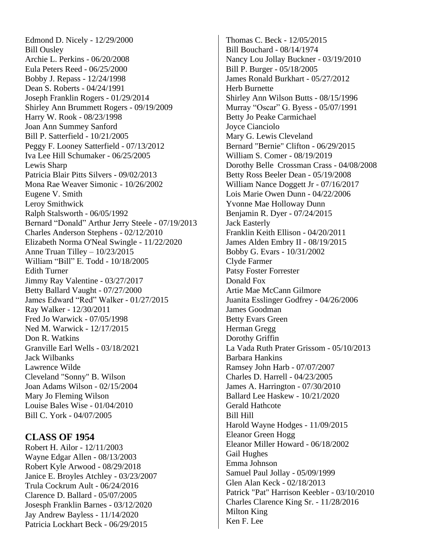Edmond D. Nicely - 12/29/2000 Bill Ousley Archie L. Perkins - 06/20/2008 Eula Peters Reed - 06/25/2000 Bobby J. Repass - 12/24/1998 Dean S. Roberts - 04/24/1991 Joseph Franklin Rogers - 01/29/2014 Shirley Ann Brummett Rogers - 09/19/2009 Harry W. Rook - 08/23/1998 Joan Ann Summey Sanford Bill P. Satterfield - 10/21/2005 Peggy F. Looney Satterfield - 07/13/2012 Iva Lee Hill Schumaker - 06/25/2005 Lewis Sharp Patricia Blair Pitts Silvers - 09/02/2013 Mona Rae Weaver Simonic - 10/26/2002 Eugene V. Smith Leroy Smithwick Ralph Stalsworth - 06/05/1992 Bernard "Donald" Arthur Jerry Steele - 07/19/2013 Charles Anderson Stephens - 02/12/2010 Elizabeth Norma O'Neal Swingle - 11/22/2020 Anne Truan Tilley – 10/23/2015 William "Bill" E. Todd - 10/18/2005 Edith Turner Jimmy Ray Valentine - 03/27/2017 Betty Ballard Vaught - 07/27/2000 James Edward "Red" Walker - 01/27/2015 Ray Walker - 12/30/2011 Fred Jo Warwick - 07/05/1998 Ned M. Warwick - 12/17/2015 Don R. Watkins Granville Earl Wells - 03/18/2021 Jack Wilbanks Lawrence Wilde Cleveland "Sonny" B. Wilson Joan Adams Wilson - 02/15/2004 Mary Jo Fleming Wilson Louise Bales Wise - 01/04/2010 Bill C. York - 04/07/2005

#### **CLASS OF 1954**

Robert H. Ailor - 12/11/2003 Wayne Edgar Allen - 08/13/2003 Robert Kyle Arwood - 08/29/2018 Janice E. Broyles Atchley - 03/23/2007 Trula Cockrum Ault - 06/24/2016 Clarence D. Ballard - 05/07/2005 Josesph Franklin Barnes - 03/12/2020 Jay Andrew Bayless - 11/14/2020 Patricia Lockhart Beck - 06/29/2015

Thomas C. Beck - 12/05/2015 Bill Bouchard - 08/14/1974 Nancy Lou Jollay Buckner - 03/19/2010 Bill P. Burger - 05/18/2005 James Ronald Burkhart - 05/27/2012 Herb Burnette Shirley Ann Wilson Butts - 08/15/1996 Murray "Oscar" G. Byess - 05/07/1991 Betty Jo Peake Carmichael Joyce Cianciolo Mary G. Lewis Cleveland Bernard "Bernie" Clifton - 06/29/2015 William S. Comer - 08/19/2019 Dorothy Belle Crossman Crass - 04/08/2008 Betty Ross Beeler Dean - 05/19/2008 William Nance Doggett Jr - 07/16/2017 Lois Marie Owen Dunn - 04/22/2006 Yvonne Mae Holloway Dunn Benjamin R. Dyer - 07/24/2015 Jack Easterly Franklin Keith Ellison - 04/20/2011 James Alden Embry II - 08/19/2015 Bobby G. Evars - 10/31/2002 Clyde Farmer Patsy Foster Forrester Donald Fox Artie Mae McCann Gilmore Juanita Esslinger Godfrey - 04/26/2006 James Goodman Betty Evars Green Herman Gregg Dorothy Griffin La Vada Ruth Prater Grissom - 05/10/2013 Barbara Hankins Ramsey John Harb - 07/07/2007 Charles D. Harrell - 04/23/2005 James A. Harrington - 07/30/2010 Ballard Lee Haskew - 10/21/2020 Gerald Hathcote Bill Hill Harold Wayne Hodges - 11/09/2015 Eleanor Green Hogg Eleanor Miller Howard - 06/18/2002 Gail Hughes Emma Johnson Samuel Paul Jollay - 05/09/1999 Glen Alan Keck - 02/18/2013 Patrick "Pat" Harrison Keebler - 03/10/2010 Charles Clarence King Sr. - 11/28/2016 Milton King Ken F. Lee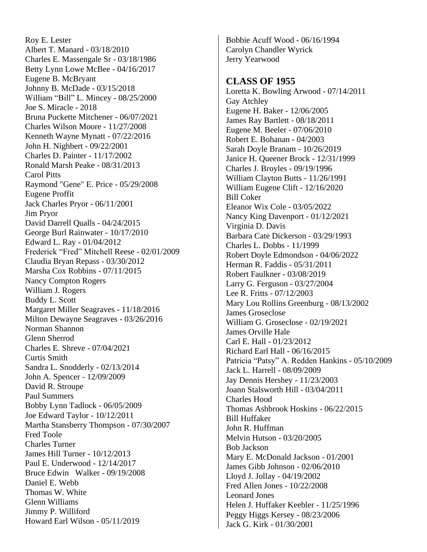Roy E. Lester Albert T. Manard - 03/18/2010 Charles E. Massengale Sr - 03/18/1986 Betty Lynn Lowe McBee - 04/16/2017 Eugene B. McBryant Johnny B. McDade - 03/15/2018 William "Bill" L. Mincey - 08/25/2000 Joe S. Miracle - 2018 Bruna Puckette Mitchener - 06/07/2021 Charles Wilson Moore - 11/27/2008 Kenneth Wayne Mynatt - 07/22/2016 John H. Nighbert - 09/22/2001 Charles D. Painter - 11/17/2002 Ronald Marsh Peake - 08/31/2013 Carol Pitts Raymond "Gene" E. Price - 05/29/2008 Eugene Proffit Jack Charles Pryor - 06/11/2001 Jim Pryor David Darrell Qualls - 04/24/2015 George Burl Rainwater - 10/17/2010 Edward L. Ray - 01/04/2012 Frederick "Fred" Mitchell Reese - 02/01/2009 Claudia Bryan Repass - 03/30/2012 Marsha Cox Robbins - 07/11/2015 Nancy Compton Rogers William J. Rogers Buddy L. Scott Margaret Miller Seagraves - 11/18/2016 Milton Dewayne Seagraves - 03/26/2016 Norman Shannon Glenn Sherrod Charles E. Shreve - 07/04/2021 Curtis Smith Sandra L. Snodderly - 02/13/2014 John A. Spencer - 12/09/2009 David R. Stroupe Paul Summers Bobby Lynn Tadlock - 06/05/2009 Joe Edward Taylor - 10/12/2011 Martha Stansberry Thompson - 07/30/2007 Fred Toole Charles Turner James Hill Turner - 10/12/2013 Paul E. Underwood - 12/14/2017 Bruce Edwin Walker - 09/19/2008 Daniel E. Webb Thomas W. White Glenn Williams Jimmy P. Williford Howard Earl Wilson - 05/11/2019

Bobbie Acuff Wood - 06/16/1994 Carolyn Chandler Wyrick Jerry Yearwood

#### **CLASS OF 1955**

Loretta K. Bowling Arwood - 07/14/2011 Gay Atchley Eugene H. Baker - 12/06/2005 James Ray Bartlett - 08/18/2011 Eugene M. Beeler - 07/06/2010 Robert E. Bohanan - 04/2003 Sarah Doyle Branam - 10/26/2019 Janice H. Queener Brock - 12/31/1999 Charles J. Broyles - 09/19/1996 William Clayton Butts - 11/26/1991 William Eugene Clift - 12/16/2020 Bill Coker Eleanor Wix Cole - 03/05/2022 Nancy King Davenport - 01/12/2021 Virginia D. Davis Barbara Cate Dickerson - 03/29/1993 Charles L. Dobbs - 11/1999 Robert Doyle Edmondson - 04/06/2022 Herman R. Faddis - 05/31/2011 Robert Faulkner - 03/08/2019 Larry G. Ferguson - 03/27/2004 Lee R. Fritts - 07/12/2003 Mary Lou Rollins Greenburg - 08/13/2002 James Groseclose William G. Groseclose - 02/19/2021 James Orville Hale Carl E. Hall - 01/23/2012 Richard Earl Hall - 06/16/2015 Patricia "Patsy" A. Redden Hankins - 05/10/2009 Jack L. Harrell - 08/09/2009 Jay Dennis Hershey - 11/23/2003 Joann Stalsworth Hill - 03/04/2011 Charles Hood Thomas Ashbrook Hoskins - 06/22/2015 Bill Huffaker John R. Huffman Melvin Hutson - 03/20/2005 Bob Jackson Mary E. McDonald Jackson - 01/2001 James Gibb Johnson - 02/06/2010 Lloyd J. Jollay - 04/19/2002 Fred Allen Jones - 10/22/2008 Leonard Jones Helen J. Huffaker Keebler - 11/25/1996 Peggy Higgs Kersey - 08/23/2006 Jack G. Kirk - 01/30/2001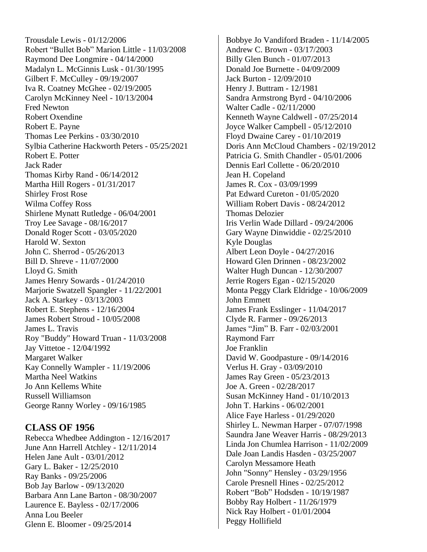Trousdale Lewis - 01/12/2006 Robert "Bullet Bob" Marion Little - 11/03/2008 Raymond Dee Longmire - 04/14/2000 Madalyn L. McGinnis Lusk - 01/30/1995 Gilbert F. McCulley - 09/19/2007 Iva R. Coatney McGhee - 02/19/2005 Carolyn McKinney Neel - 10/13/2004 Fred Newton Robert Oxendine Robert E. Payne Thomas Lee Perkins - 03/30/2010 Sylbia Catherine Hackworth Peters - 05/25/2021 Robert E. Potter Jack Rader Thomas Kirby Rand - 06/14/2012 Martha Hill Rogers - 01/31/2017 Shirley Frost Rose Wilma Coffey Ross Shirlene Mynatt Rutledge - 06/04/2001 Troy Lee Savage - 08/16/2017 Donald Roger Scott - 03/05/2020 Harold W. Sexton John C. Sherrod - 05/26/2013 Bill D. Shreve - 11/07/2000 Lloyd G. Smith James Henry Sowards - 01/24/2010 Marjorie Swatzell Spangler - 11/22/2001 Jack A. Starkey - 03/13/2003 Robert E. Stephens - 12/16/2004 James Robert Stroud - 10/05/2008 James L. Travis Roy "Buddy" Howard Truan - 11/03/2008 Jay Vittetoe - 12/04/1992 Margaret Walker Kay Connelly Wampler - 11/19/2006 Martha Neel Watkins Jo Ann Kellems White Russell Williamson George Ranny Worley - 09/16/1985

## **CLASS OF 1956**

Rebecca Whedbee Addington - 12/16/2017 June Ann Harrell Atchley - 12/11/2014 Helen Jane Ault - 03/01/2012 Gary L. Baker - 12/25/2010 Ray Banks - 09/25/2006 Bob Jay Barlow - 09/13/2020 Barbara Ann Lane Barton - 08/30/2007 Laurence E. Bayless - 02/17/2006 Anna Lou Beeler Glenn E. Bloomer - 09/25/2014

Bobbye Jo Vandiford Braden - 11/14/2005 Andrew C. Brown - 03/17/2003 Billy Glen Bunch - 01/07/2013 Donald Joe Burnette - 04/09/2009 Jack Burton - 12/09/2010 Henry J. Buttram - 12/1981 Sandra Armstrong Byrd - 04/10/2006 Walter Cadle - 02/11/2000 Kenneth Wayne Caldwell - 07/25/2014 Joyce Walker Campbell - 05/12/2010 Floyd Dwaine Carey - 01/10/2019 Doris Ann McCloud Chambers - 02/19/2012 Patricia G. Smith Chandler - 05/01/2006 Dennis Earl Collette - 06/20/2010 Jean H. Copeland James R. Cox - 03/09/1999 Pat Edward Cureton - 01/05/2020 William Robert Davis - 08/24/2012 Thomas Delozier Iris Verlin Wade Dillard - 09/24/2006 Gary Wayne Dinwiddie - 02/25/2010 Kyle Douglas Albert Leon Doyle - 04/27/2016 Howard Glen Drinnen - 08/23/2002 Walter Hugh Duncan - 12/30/2007 Jerrie Rogers Egan - 02/15/2020 Monta Peggy Clark Eldridge - 10/06/2009 John Emmett James Frank Esslinger - 11/04/2017 Clyde R. Farmer - 09/26/2013 James "Jim" B. Farr - 02/03/2001 Raymond Farr Joe Franklin David W. Goodpasture - 09/14/2016 Verlus H. Gray - 03/09/2010 James Ray Green - 05/23/2013 Joe A. Green - 02/28/2017 Susan McKinney Hand - 01/10/2013 John T. Harkins - 06/02/2001 Alice Faye Harless - 01/29/2020 Shirley L. Newman Harper - 07/07/1998 Saundra Jane Weaver Harris - 08/29/2013 Linda Jon Chumlea Harrison - 11/02/2009 Dale Joan Landis Hasden - 03/25/2007 Carolyn Messamore Heath John "Sonny" Hensley - 03/29/1956 Carole Presnell Hines - 02/25/2012 Robert "Bob" Hodsden - 10/19/1987 Bobby Ray Holbert - 11/26/1979 Nick Ray Holbert - 01/01/2004 Peggy Hollifield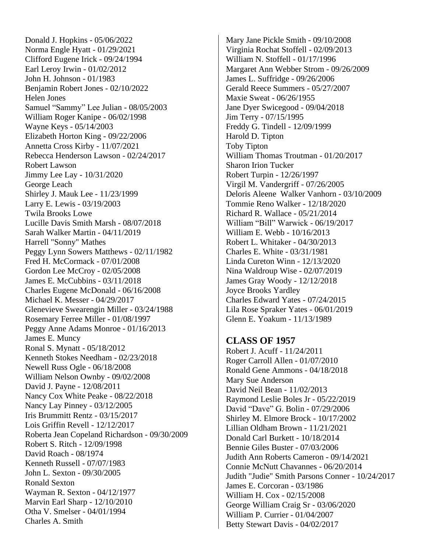Donald J. Hopkins - 05/06/2022 Norma Engle Hyatt - 01/29/2021 Clifford Eugene Irick - 09/24/1994 Earl Leroy Irwin - 01/02/2012 John H. Johnson - 01/1983 Benjamin Robert Jones - 02/10/2022 Helen Jones Samuel "Sammy" Lee Julian - 08/05/2003 William Roger Kanipe - 06/02/1998 Wayne Keys - 05/14/2003 Elizabeth Horton King - 09/22/2006 Annetta Cross Kirby - 11/07/2021 Rebecca Henderson Lawson - 02/24/2017 Robert Lawson Jimmy Lee Lay - 10/31/2020 George Leach Shirley J. Mauk Lee - 11/23/1999 Larry E. Lewis - 03/19/2003 Twila Brooks Lowe Lucille Davis Smith Marsh - 08/07/2018 Sarah Walker Martin - 04/11/2019 Harrell "Sonny" Mathes Peggy Lynn Sowers Matthews - 02/11/1982 Fred H. McCormack - 07/01/2008 Gordon Lee McCroy - 02/05/2008 James E. McCubbins - 03/11/2018 Charles Eugene McDonald - 06/16/2008 Michael K. Messer - 04/29/2017 Glenevieve Swearengin Miller - 03/24/1988 Rosemary Ferree Miller - 01/08/1997 Peggy Anne Adams Monroe - 01/16/2013 James E. Muncy Ronal S. Mynatt - 05/18/2012 Kenneth Stokes Needham - 02/23/2018 Newell Russ Ogle - 06/18/2008 William Nelson Ownby - 09/02/2008 David J. Payne - 12/08/2011 Nancy Cox White Peake - 08/22/2018 Nancy Lay Pinney - 03/12/2005 Iris Brummitt Rentz - 03/15/2017 Lois Griffin Revell - 12/12/2017 Roberta Jean Copeland Richardson - 09/30/2009 Robert S. Ritch - 12/09/1998 David Roach - 08/1974 Kenneth Russell - 07/07/1983 John L. Sexton - 09/30/2005 Ronald Sexton Wayman R. Sexton - 04/12/1977 Marvin Earl Sharp - 12/10/2010 Otha V. Smelser - 04/01/1994 Charles A. Smith

Mary Jane Pickle Smith - 09/10/2008 Virginia Rochat Stoffell - 02/09/2013 William N. Stoffell - 01/17/1996 Margaret Ann Webber Strom - 09/26/2009 James L. Suffridge - 09/26/2006 Gerald Reece Summers - 05/27/2007 Maxie Sweat - 06/26/1955 Jane Dyer Swicegood - 09/04/2018 Jim Terry - 07/15/1995 Freddy G. Tindell - 12/09/1999 Harold D. Tipton Toby Tipton William Thomas Troutman - 01/20/2017 Sharon Irion Tucker Robert Turpin - 12/26/1997 Virgil M. Vandergriff - 07/26/2005 Deloris Aleene Walker Vanhorn - 03/10/2009 Tommie Reno Walker - 12/18/2020 Richard R. Wallace - 05/21/2014 William "Bill" Warwick - 06/19/2017 William E. Webb - 10/16/2013 Robert L. Whitaker - 04/30/2013 Charles E. White - 03/31/1981 Linda Cureton Winn - 12/13/2020 Nina Waldroup Wise - 02/07/2019 James Gray Woody - 12/12/2018 Joyce Brooks Yardley Charles Edward Yates - 07/24/2015 Lila Rose Spraker Yates - 06/01/2019 Glenn E. Yoakum - 11/13/1989

#### **CLASS OF 1957**

Robert J. Acuff - 11/24/2011 Roger Carroll Allen - 01/07/2010 Ronald Gene Ammons - 04/18/2018 Mary Sue Anderson David Neil Bean - 11/02/2013 Raymond Leslie Boles Jr - 05/22/2019 David "Dave" G. Bolin - 07/29/2006 Shirley M. Elmore Brock - 10/17/2002 Lillian Oldham Brown - 11/21/2021 Donald Carl Burkett - 10/18/2014 Bennie Giles Buster - 07/03/2006 Judith Ann Roberts Cameron - 09/14/2021 Connie McNutt Chavannes - 06/20/2014 Judith "Judie" [Smith](http://www.legacy.com/memorial-sites/smith/?personid=187056189&affiliateID=1477) Parsons Conner - 10/24/2017 James E. Corcoran - 03/1986 William H. Cox - 02/15/2008 George William Craig Sr - 03/06/2020 William P. Currier - 01/04/2007 Betty Stewart Davis - 04/02/2017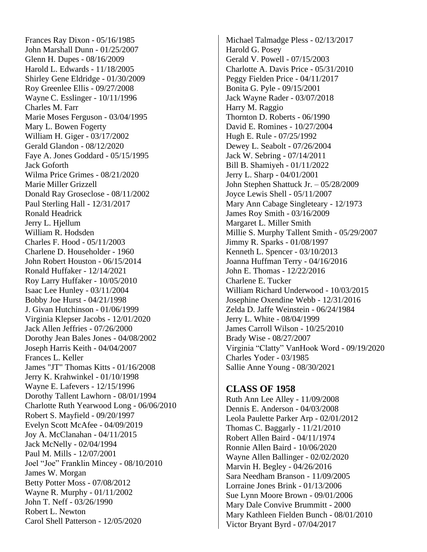Frances Ray Dixon - 05/16/1985 John Marshall Dunn - 01/25/2007 Glenn H. Dupes - 08/16/2009 Harold L. Edwards - 11/18/2005 Shirley Gene Eldridge - 01/30/2009 Roy Greenlee Ellis - 09/27/2008 Wayne C. Esslinger - 10/11/1996 Charles M. Farr Marie Moses Ferguson - 03/04/1995 Mary L. Bowen Fogerty William H. Giger - 03/17/2002 Gerald Glandon - 08/12/2020 Faye A. Jones Goddard - 05/15/1995 Jack Goforth Wilma Price Grimes - 08/21/2020 Marie Miller Grizzell Donald Ray Groseclose - 08/11/2002 Paul Sterling Hall - 12/31/2017 Ronald Headrick Jerry L. Hjellum William R. Hodsden Charles F. Hood - 05/11/2003 Charlene D. Householder - 1960 John Robert Houston - 06/15/2014 Ronald Huffaker - 12/14/2021 Roy Larry Huffaker - 10/05/2010 Isaac Lee Hunley - 03/11/2004 Bobby Joe Hurst - 04/21/1998 J. Givan Hutchinson - 01/06/1999 Virginia Klepser Jacobs - 12/01/2020 Jack Allen Jeffries - 07/26/2000 Dorothy Jean Bales Jones - 04/08/2002 Joseph Harris Keith - 04/04/2007 Frances L. Keller James "JT" Thomas Kitts - 01/16/2008 Jerry K. Krahwinkel - 01/10/1998 Wayne E. Lafevers - 12/15/1996 Dorothy Tallent Lawhorn - 08/01/1994 Charlotte Ruth Yearwood Long - 06/06/2010 Robert S. Mayfield - 09/20/1997 Evelyn Scott McAfee - 04/09/2019 Joy A. McClanahan - 04/11/2015 Jack McNelly - 02/04/1994 Paul M. Mills - 12/07/2001 Joel "Joe" Franklin Mincey - 08/10/2010 James W. Morgan Betty Potter Moss - 07/08/2012 Wayne R. Murphy - 01/11/2002 John T. Neff - 03/26/1990 Robert L. Newton Carol Shell Patterson - 12/05/2020

Michael Talmadge Pless - 02/13/2017 Harold G. Posey Gerald V. Powell - 07/15/2003 Charlotte A. Davis Price - 05/31/2010 Peggy Fielden Price - 04/11/2017 Bonita G. Pyle - 09/15/2001 Jack Wayne Rader - 03/07/2018 Harry M. Raggio Thornton D. Roberts - 06/1990 David E. Romines - 10/27/2004 Hugh E. Rule - 07/25/1992 Dewey L. Seabolt - 07/26/2004 Jack W. Sebring - 07/14/2011 Bill B. Shamiyeh - 01/11/2022 Jerry L. Sharp - 04/01/2001 John Stephen Shattuck Jr. – 05/28/2009 Joyce Lewis Shell - 05/11/2007 Mary Ann Cabage Singleteary - 12/1973 James Roy Smith - 03/16/2009 Margaret L. Miller Smith Millie S. Murphy Tallent Smith - 05/29/2007 Jimmy R. Sparks - 01/08/1997 Kenneth L. Spencer - 03/10/2013 Joanna Huffman Terry - 04/16/2016 John E. Thomas - 12/22/2016 Charlene E. Tucker William Richard Underwood - 10/03/2015 Josephine Oxendine Webb - 12/31/2016 Zelda D. Jaffe Weinstein - 06/24/1984 Jerry L. White - 08/04/1999 James Carroll Wilson - 10/25/2010 Brady Wise - 08/27/2007 Virginia "Clatty" VanHook Word - 09/19/2020 Charles Yoder - 03/1985 Sallie Anne Young - 08/30/2021

#### **CLASS OF 1958**

Ruth Ann Lee Alley - 11/09/2008 Dennis E. Anderson - 04/03/2008 Leola Paulette Parker Arp - 02/01/2012 Thomas C. Baggarly - 11/21/2010 Robert Allen Baird - 04/11/1974 Ronnie Allen Baird - 10/06/2020 Wayne Allen Ballinger - 02/02/2020 Marvin H. Begley - 04/26/2016 Sara Needham Branson - 11/09/2005 Lorraine Jones Brink - 01/13/2006 Sue Lynn Moore Brown - 09/01/2006 Mary Dale Convive Brummitt - 2000 Mary Kathleen Fielden Bunch - 08/01/2010 Victor Bryant Byrd - 07/04/2017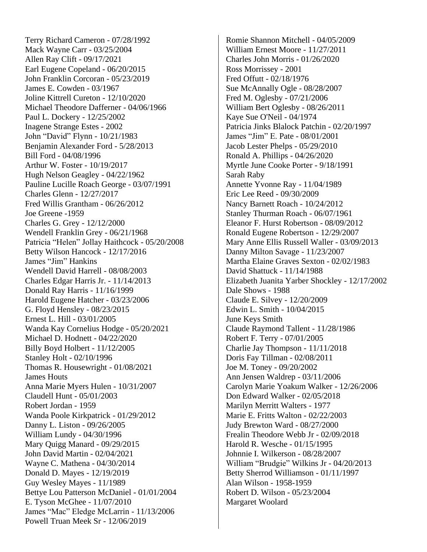Terry Richard Cameron - 07/28/1992 Mack Wayne Carr - 03/25/2004 Allen Ray Clift - 09/17/2021 Earl Eugene Copeland - 06/20/2015 John Franklin Corcoran - 05/23/2019 James E. Cowden - 03/1967 Joline Kittrell Cureton - 12/10/2020 Michael Theodore Dafferner - 04/06/1966 Paul L. Dockery - 12/25/2002 Inagene Strange Estes - 2002 John "David" Flynn - 10/21/1983 Benjamin Alexander Ford - 5/28/2013 Bill Ford - 04/08/1996 Arthur W. Foster - 10/19/2017 Hugh Nelson Geagley - 04/22/1962 Pauline Lucille Roach George - 03/07/1991 Charles Glenn - 12/27/2017 Fred Willis Grantham - 06/26/2012 Joe Greene -1959 Charles G. Grey - 12/12/2000 Wendell Franklin Grey - 06/21/1968 Patricia "Helen" Jollay Haithcock - 05/20/2008 Betty Wilson Hancock - 12/17/2016 James "Jim" Hankins Wendell David Harrell - 08/08/2003 Charles Edgar Harris Jr. - 11/14/2013 Donald Ray Harris - 11/16/1999 Harold Eugene Hatcher - 03/23/2006 G. Floyd Hensley - 08/23/2015 Ernest L. Hill - 03/01/2005 Wanda Kay Cornelius Hodge - 05/20/2021 Michael D. Hodnett - 04/22/2020 Billy Boyd Holbert - 11/12/2005 Stanley Holt - 02/10/1996 Thomas R. Housewright - 01/08/2021 James Houts Anna Marie Myers Hulen - 10/31/2007 Claudell Hunt - 05/01/2003 Robert Jordan - 1959 Wanda Poole Kirkpatrick - 01/29/2012 Danny L. Liston - 09/26/2005 William Lundy - 04/30/1996 Mary Quigg Manard - 09/29/2015 John David Martin - 02/04/2021 Wayne C. Mathena - 04/30/2014 Donald D. Mayes - 12/19/2019 Guy Wesley Mayes - 11/1989 Bettye Lou Patterson McDaniel - 01/01/2004 E. Tyson McGhee - 11/07/2010 James "Mac" Eledge McLarrin - 11/13/2006 Powell Truan Meek Sr - 12/06/2019

Romie Shannon Mitchell - 04/05/2009 William Ernest Moore - 11/27/2011 Charles John Morris - 01/26/2020 Ross Morrissey - 2001 Fred Offutt - 02/18/1976 Sue McAnnally Ogle - 08/28/2007 Fred M. Oglesby - 07/21/2006 William Bert Oglesby - 08/26/2011 Kaye Sue O'Neil - 04/1974 Patricia Jinks Blalock Patchin - 02/20/1997 James "Jim" E. Pate - 08/01/2001 Jacob Lester Phelps - 05/29/2010 Ronald A. Phillips - 04/26/2020 Myrtle June Cooke Porter - 9/18/1991 Sarah Raby Annette Yvonne Ray - 11/04/1989 Eric Lee Reed - 09/30/2009 Nancy Barnett Roach - 10/24/2012 Stanley Thurman Roach - 06/07/1961 Eleanor F. Hurst Robertson - 08/09/2012 Ronald Eugene Robertson - 12/29/2007 Mary Anne Ellis Russell Waller - 03/09/2013 Danny Milton Savage - 11/23/2007 Martha Elaine Graves Sexton - 02/02/1983 David Shattuck - 11/14/1988 Elizabeth Juanita Yarber Shockley - 12/17/2002 Dale Shows - 1988 Claude E. Silvey - 12/20/2009 Edwin L. Smith - 10/04/2015 June Keys Smith Claude Raymond Tallent - 11/28/1986 Robert F. Terry - 07/01/2005 Charlie Jay Thompson - 11/11/2018 Doris Fay Tillman - 02/08/2011 Joe M. Toney - 09/20/2002 Ann Jensen Waldrep - 03/11/2006 Carolyn Marie Yoakum Walker - 12/26/2006 Don Edward Walker - 02/05/2018 Marilyn Merritt Walters - 1977 Marie E. Fritts Walton - 02/22/2003 Judy Brewton Ward - 08/27/2000 Frealin Theodore Webb Jr - 02/09/2018 Harold R. Wesche - 01/15/1995 Johnnie I. Wilkerson - 08/28/2007 William "Brudgie" Wilkins Jr - 04/20/2013 Betty Sherrod Williamson - 01/11/1997 Alan Wilson - 1958-1959 Robert D. Wilson - 05/23/2004 Margaret Woolard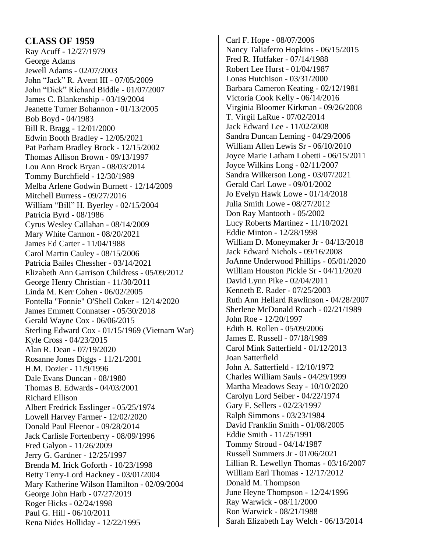### **CLASS OF 1959**

Ray Acuff - 12/27/1979 George Adams Jewell Adams - 02/07/2003 John "Jack" R. Avent III - 07/05/2009 John "Dick" Richard Biddle - 01/07/2007 James C. Blankenship - 03/19/2004 Jeanette Turner Bohannon - 01/13/2005 Bob Boyd - 04/1983 Bill R. Bragg - 12/01/2000 Edwin Booth Bradley - 12/05/2021 Pat Parham Bradley Brock - 12/15/2002 Thomas Allison Brown - 09/13/1997 Lou Ann Brock Bryan - 08/03/2014 Tommy Burchfield - 12/30/1989 Melba Arlene Godwin Burnett - 12/14/2009 Mitchell Burress - 09/27/2016 William "Bill" H. Byerley - 02/15/2004 Patricia Byrd - 08/1986 Cyrus Wesley Callahan - 08/14/2009 Mary White Carmon - 08/20/2021 James Ed Carter - 11/04/1988 Carol Martin Cauley - 08/15/2006 Patricia Bailes Chessher - 03/14/2021 Elizabeth Ann Garrison Childress - 05/09/2012 George Henry Christian - 11/30/2011 Linda M. Kerr Cohen - 06/02/2005 Fontella "Fonnie" O'Shell Coker - 12/14/2020 James Emmett Connatser - 05/30/2018 Gerald Wayne Cox - 06/06/2015 Sterling Edward Cox - 01/15/1969 (Vietnam War) Kyle Cross - 04/23/2015 Alan R. Dean - 07/19/2020 Rosanne Jones Diggs - 11/21/2001 H.M. Dozier - 11/9/1996 Dale Evans Duncan - 08/1980 Thomas B. Edwards - 04/03/2001 Richard Ellison Albert Fredrick Esslinger - 05/25/1974 Lowell Harvey Farmer - 12/02/2020 Donald Paul Fleenor - 09/28/2014 Jack Carlisle Fortenberry - 08/09/1996 Fred Galyon - 11/26/2009 Jerry G. Gardner - 12/25/1997 Brenda M. Irick Goforth - 10/23/1998 Betty Terry-Lord Hackney - 03/01/2004 Mary Katherine Wilson Hamilton - 02/09/2004 George John Harb - 07/27/2019 Roger Hicks - 02/24/1998 Paul G. Hill - 06/10/2011 Rena Nides Holliday - 12/22/1995

Carl F. Hope - 08/07/2006 Nancy Taliaferro Hopkins - 06/15/2015 Fred R. Huffaker - 07/14/1988 Robert Lee Hurst - 01/04/1987 Lonas Hutchison - 03/31/2000 Barbara Cameron Keating - 02/12/1981 Victoria Cook Kelly - 06/14/2016 Virginia Bloomer Kirkman - 09/26/2008 T. Virgil LaRue - 07/02/2014 Jack Edward Lee - 11/02/2008 Sandra Duncan Leming - 04/29/2006 William Allen Lewis Sr - 06/10/2010 Joyce Marie Latham Lobetti - 06/15/2011 Joyce Wilkins Long - 02/11/2007 Sandra Wilkerson Long - 03/07/2021 Gerald Carl Lowe - 09/01/2002 Jo Evelyn Hawk Lowe - 01/14/2018 Julia Smith Lowe - 08/27/2012 Don Ray Mantooth - 05/2002 Lucy Roberts Martinez - 11/10/2021 Eddie Minton - 12/28/1998 William D. Moneymaker Jr - 04/13/2018 Jack Edward Nichols - 09/16/2008 JoAnne Underwood Phillips - 05/01/2020 William Houston Pickle Sr - 04/11/2020 David Lynn Pike - 02/04/2011 Kenneth E. Rader - 07/25/2003 Ruth Ann Hellard Rawlinson - 04/28/2007 Sherlene McDonald Roach - 02/21/1989 John Roe - 12/20/1997 Edith B. Rollen - 05/09/2006 James E. Russell - 07/18/1989 Carol Mink Satterfield - 01/12/2013 Joan Satterfield John A. Satterfield - 12/10/1972 Charles William Sauls - 04/29/1999 Martha Meadows Seay - 10/10/2020 Carolyn Lord Seiber - 04/22/1974 Gary F. Sellers - 02/23/1997 Ralph Simmons - 03/23/1984 David Franklin Smith - 01/08/2005 Eddie Smith - 11/25/1991 Tommy Stroud - 04/14/1987 Russell Summers Jr - 01/06/2021 Lillian R. Lewellyn Thomas - 03/16/2007 William Earl Thomas - 12/17/2012 Donald M. Thompson June Heyne Thompson - 12/24/1996 Ray Warwick - 08/11/2000 Ron Warwick - 08/21/1988 Sarah Elizabeth Lay Welch - 06/13/2014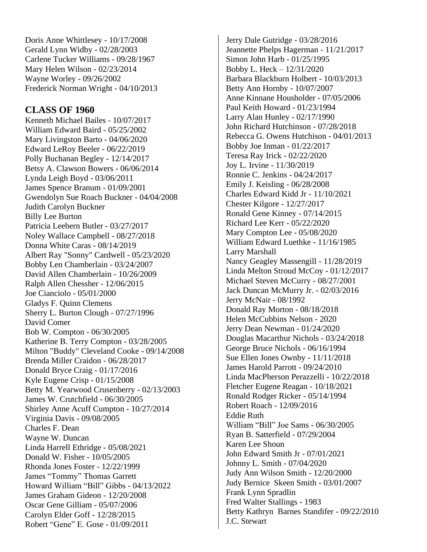Doris Anne Whittlesey - 10/17/2008 Gerald Lynn Widby - 02/28/2003 Carlene Tucker Williams - 09/28/1967 Mary Helen Wilson - 02/23/2014 Wayne Worley - 09/26/2002 Frederick Norman Wright - 04/10/2013

## **CLASS OF 1960**

Kenneth Michael Bailes - 10/07/2017 William Edward Baird - 05/25/2002 Mary Livingston Barto - 04/06/2020 Edward LeRoy Beeler - 06/22/2019 Polly Buchanan Begley - 12/14/2017 Betsy A. Clawson Bowers - 06/06/2014 Lynda Leigh Boyd - 03/06/2011 James Spence Branum - 01/09/2001 Gwendolyn Sue Roach Buckner - 04/04/2008 Judith Carolyn Buckner Billy Lee Burton Patricia Leebern Butler - 03/27/2017 Noley Wallace Campbell - 08/27/2018 Donna White Caras - 08/14/2019 Albert Ray "Sonny" Cardwell - 05/23/2020 Bobby Len Chamberlain - 03/24/2007 David Allen Chamberlain - 10/26/2009 Ralph Allen Chessher - 12/06/2015 Joe Cianciolo - 05/01/2000 Gladys F. Quinn Clemens Sherry L. Burton Clough - 07/27/1996 David Comer Bob W. Compton - 06/30/2005 Katherine B. Terry Compton - 03/28/2005 Milton "Buddy" Cleveland Cooke - 09/14/2008 Brenda Miller Craidon - 06/28/2017 Donald Bryce Craig - 01/17/2016 Kyle Eugene Crisp - 01/15/2008 Betty M. Yearwood Crusenberry - 02/13/2003 James W. Crutchfield - 06/30/2005 Shirley Anne Acuff Cumpton - 10/27/2014 Virginia Davis - 09/08/2005 Charles F. Dean Wayne W. Duncan Linda Harrell Ethridge - 05/08/2021 Donald W. Fisher - 10/05/2005 Rhonda Jones Foster - 12/22/1999 James "Tommy" Thomas Garrett Howard William "Bill" Gibbs - 04/13/2022 James Graham Gideon - 12/20/2008 Oscar Gene Gilliam - 05/07/2006 Carolyn Elder Goff - 12/28/2015 Robert "Gene" E. Gose - 01/09/2011

Jerry Dale Gutridge - 03/28/2016 Jeannette Phelps Hagerman - 11/21/2017 Simon John Harb - 01/25/1995 Bobby L. Heck – 12/31/2020 Barbara Blackburn Holbert - 10/03/2013 Betty Ann Hornby - 10/07/2007 Anne Kinnane Housholder - 07/05/2006 Paul Keith Howard - 01/23/1994 Larry Alan Hunley - 02/17/1990 John Richard Hutchinson - 07/28/2018 Rebecca G. Owens Hutchison - 04/01/2013 Bobby Joe Inman - 01/22/2017 Teresa Ray Irick - 02/22/2020 Joy L. Irvine - 11/30/2019 Ronnie C. Jenkins - 04/24/2017 Emily J. Keisling - 06/28/2008 Charles Edward Kidd Jr - 11/10/2021 Chester Kilgore - 12/27/2017 Ronald Gene Kinney - 07/14/2015 Richard Lee Kerr - 05/22/2020 Mary Compton Lee - 05/08/2020 William Edward Luethke - 11/16/1985 Larry Marshall Nancy Geagley Massengill - 11/28/2019 Linda Melton Stroud McCoy - 01/12/2017 Michael Steven McCurry - 08/27/2001 Jack Duncan McMurry Jr. - 02/03/2016 Jerry McNair - 08/1992 Donald Ray Morton - 08/18/2018 Helen McCubbins Nelson - 2020 Jerry Dean Newman - 01/24/2020 Douglas Macarthur Nichols - 03/24/2018 George Bruce Nichols - 06/16/1994 Sue Ellen Jones Ownby - 11/11/2018 James Harold Parrott - 09/24/2010 Linda MacPherson Perazzelli - 10/22/2018 Fletcher Eugene Reagan - 10/18/2021 Ronald Rodger Ricker - 05/14/1994 Robert Roach - 12/09/2016 Eddie Ruth William "Bill" Joe Sams - 06/30/2005 Ryan B. Satterfield - 07/29/2004 Karen Lee Shoun John Edward Smith Jr - 07/01/2021 Johnny L. Smith - 07/04/2020 Judy Ann Wilson Smith - 12/20/2000 Judy Bernice Skeen Smith - 03/01/2007 Frank Lynn Spradlin Fred Walter Stallings - 1983 Betty Kathryn Barnes Standifer - 09/22/2010 J.C. Stewart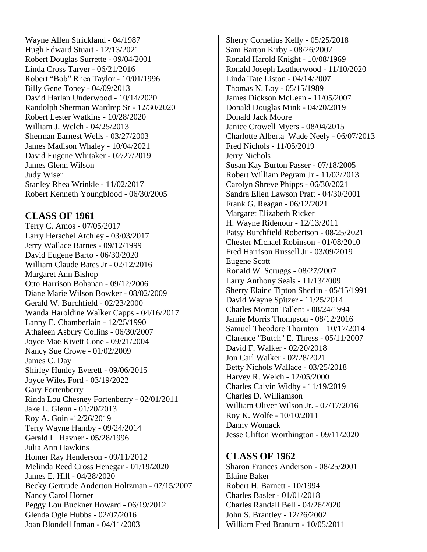Wayne Allen Strickland - 04/1987 Hugh Edward Stuart - 12/13/2021 Robert Douglas Surrette - 09/04/2001 Linda Cross Tarver - 06/21/2016 Robert "Bob" Rhea Taylor - 10/01/1996 Billy Gene Toney - 04/09/2013 David Harlan Underwood - 10/14/2020 Randolph Sherman Wardrep Sr - 12/30/2020 Robert Lester Watkins - 10/28/2020 William J. Welch - 04/25/2013 Sherman Earnest Wells - 03/27/2003 James Madison Whaley - 10/04/2021 David Eugene Whitaker - 02/27/2019 James Glenn Wilson Judy Wiser Stanley Rhea Wrinkle - 11/02/2017 Robert Kenneth Youngblood - 06/30/2005

## **CLASS OF 1961**

Terry C. Amos - 07/05/2017 Larry Herschel Atchley - 03/03/2017 Jerry Wallace Barnes - 09/12/1999 David Eugene Barto - 06/30/2020 William Claude Bates Jr - 02/12/2016 Margaret Ann Bishop Otto Harrison Bohanan - 09/12/2006 Diane Marie Wilson Bowker - 08/02/2009 Gerald W. Burchfield - 02/23/2000 Wanda Haroldine Walker Capps - 04/16/2017 Lanny E. Chamberlain - 12/25/1990 Athaleen Asbury Collins - 06/30/2007 Joyce Mae Kivett Cone - 09/21/2004 Nancy Sue Crowe - 01/02/2009 James C. Day Shirley Hunley Everett - 09/06/2015 Joyce Wiles Ford - 03/19/2022 Gary Fortenberry Rinda Lou Chesney Fortenberry - 02/01/2011 Jake L. Glenn - 01/20/2013 Roy A. Goin -12/26/2019 Terry Wayne Hamby - 09/24/2014 Gerald L. Havner - 05/28/1996 Julia Ann Hawkins Homer Ray Henderson - 09/11/2012 Melinda Reed Cross Henegar - 01/19/2020 James E. Hill - 04/28/2020 Becky Gertrude Anderton Holtzman - 07/15/2007 Nancy Carol Horner Peggy Lou Buckner Howard - 06/19/2012 Glenda Ogle Hubbs - 02/07/2016 Joan Blondell Inman - 04/11/2003

Sherry Cornelius Kelly - 05/25/2018 Sam Barton Kirby - 08/26/2007 Ronald Harold Knight - 10/08/1969 Ronald Joseph Leatherwood - 11/10/2020 Linda Tate Liston - 04/14/2007 Thomas N. Loy - 05/15/1989 James Dickson McLean - 11/05/2007 Donald Douglas Mink - 04/20/2019 Donald Jack Moore Janice Crowell Myers - 08/04/2015 Charlotte Alberta Wade Neely - 06/07/2013 Fred Nichols - 11/05/2019 Jerry Nichols Susan Kay Burton Passer - 07/18/2005 Robert William Pegram Jr - 11/02/2013 Carolyn Shreve Phipps - 06/30/2021 Sandra Ellen Lawson Pratt - 04/30/2001 Frank G. Reagan - 06/12/2021 Margaret Elizabeth Ricker H. Wayne Ridenour - 12/13/2011 Patsy Burchfield Robertson - 08/25/2021 Chester Michael Robinson - 01/08/2010 Fred Harrison Russell Jr - 03/09/2019 Eugene Scott Ronald W. Scruggs - 08/27/2007 Larry Anthony Seals - 11/13/2009 Sherry Elaine Tipton Sherlin - 05/15/1991 David Wayne Spitzer - 11/25/2014 Charles Morton Tallent - 08/24/1994 Jamie Morris Thompson - 08/12/2016 Samuel Theodore Thornton – 10/17/2014 Clarence "Butch" E. Thress - 05/11/2007 David F. Walker - 02/20/2018 Jon Carl Walker - 02/28/2021 Betty Nichols Wallace - 03/25/2018 Harvey R. Welch - 12/05/2000 Charles Calvin Widby - 11/19/2019 Charles D. Williamson William Oliver Wilson Jr. - 07/17/2016 Roy K. Wolfe - 10/10/2011 Danny Womack Jesse Clifton Worthington - 09/11/2020

#### **CLASS OF 1962**

Sharon Frances Anderson - 08/25/2001 Elaine Baker Robert H. Barnett - 10/1994 Charles Basler - 01/01/2018 Charles Randall Bell - 04/26/2020 John S. Brantley - 12/26/2002 William Fred Branum - 10/05/2011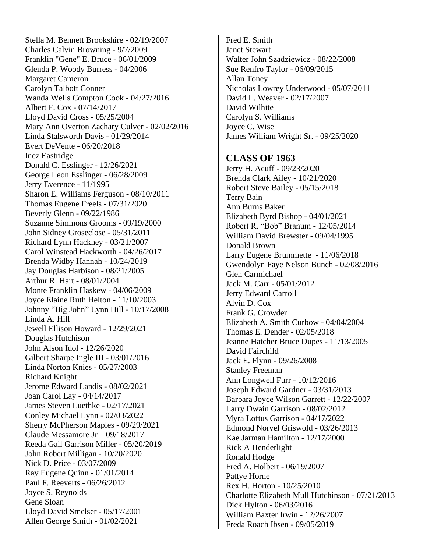Stella M. Bennett Brookshire - 02/19/2007 Charles Calvin Browning - 9/7/2009 Franklin "Gene" E. Bruce - 06/01/2009 Glenda P. Woody Burress - 04/2006 Margaret Cameron Carolyn Talbott Conner Wanda Wells Compton Cook - 04/27/2016 Albert F. Cox - 07/14/2017 Lloyd David Cross - 05/25/2004 Mary Ann Overton Zachary Culver - 02/02/2016 Linda Stalsworth Davis - 01/29/2014 Evert DeVente - 06/20/2018 Inez Eastridge Donald C. Esslinger - 12/26/2021 George Leon Esslinger - 06/28/2009 Jerry Everence - 11/1995 Sharon E. Williams Ferguson - 08/10/2011 Thomas Eugene Freels - 07/31/2020 Beverly Glenn - 09/22/1986 Suzanne Simmons Grooms - 09/19/2000 John Sidney Groseclose - 05/31/2011 Richard Lynn Hackney - 03/21/2007 Carol Winstead Hackworth - 04/26/2017 Brenda Widby Hannah - 10/24/2019 Jay Douglas Harbison - 08/21/2005 Arthur R. Hart - 08/01/2004 Monte Franklin Haskew - 04/06/2009 Joyce Elaine Ruth Helton - 11/10/2003 Johnny "Big John" Lynn Hill - 10/17/2008 Linda A. Hill Jewell Ellison Howard - 12/29/2021 Douglas Hutchison John Alson Idol - 12/26/2020 Gilbert Sharpe Ingle III - 03/01/2016 Linda Norton Knies - 05/27/2003 Richard Knight Jerome Edward Landis - 08/02/2021 Joan Carol Lay - 04/14/2017 James Steven Luethke - 02/17/2021 Conley Michael Lynn - 02/03/2022 Sherry McPherson Maples - 09/29/2021 Claude Messamore Jr – 09/18/2017 Reeda Gail Garrison Miller - 05/20/2019 John Robert Milligan - 10/20/2020 Nick D. Price - 03/07/2009 Ray Eugene Quinn - 01/01/2014 Paul F. Reeverts - 06/26/2012 Joyce S. Reynolds Gene Sloan Lloyd David Smelser - 05/17/2001 Allen George Smith - 01/02/2021

Fred E. Smith Janet Stewart Walter John Szadziewicz - 08/22/2008 Sue Renfro Taylor - 06/09/2015 Allan Toney Nicholas Lowrey Underwood - 05/07/2011 David L. Weaver - 02/17/2007 David Wilhite Carolyn S. Williams Joyce C. Wise James William Wright Sr. - 09/25/2020

#### **CLASS OF 1963**

Jerry H. Acuff - 09/23/2020 Brenda Clark Ailey - 10/21/2020 Robert Steve Bailey - 05/15/2018 Terry Bain Ann Burns Baker Elizabeth Byrd Bishop - 04/01/2021 Robert R. "Bob" Branum - 12/05/2014 William David Brewster - 09/04/1995 Donald Brown Larry Eugene Brummette - 11/06/2018 Gwendolyn Faye Nelson Bunch - 02/08/2016 Glen Carmichael Jack M. Carr - 05/01/2012 Jerry Edward Carroll Alvin D. Cox Frank G. Crowder Elizabeth A. Smith Curbow - 04/04/2004 Thomas E. Dender - 02/05/2018 Jeanne Hatcher Bruce Dupes - 11/13/2005 David Fairchild Jack E. Flynn - 09/26/2008 Stanley Freeman Ann Longwell Furr - 10/12/2016 Joseph Edward Gardner - 03/31/2013 Barbara Joyce Wilson Garrett - 12/22/2007 Larry Dwain Garrison - 08/02/2012 Myra Loftus Garrison - 04/17/2022 Edmond Norvel Griswold - 03/26/2013 Kae Jarman Hamilton - 12/17/2000 Rick A Henderlight Ronald Hodge Fred A. Holbert - 06/19/2007 Pattye Horne Rex H. Horton - 10/25/2010 Charlotte Elizabeth Mull Hutchinson - 07/21/2013 Dick Hylton - 06/03/2016 William Baxter Irwin - 12/26/2007 Freda Roach Ibsen - 09/05/2019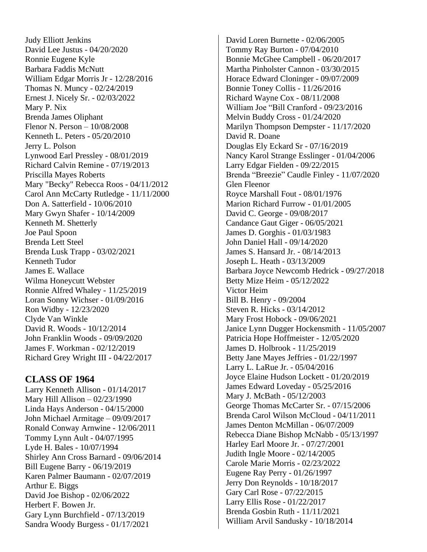Judy Elliott Jenkins David Lee Justus - 04/20/2020 Ronnie Eugene Kyle Barbara Faddis McNutt William Edgar Morris Jr - 12/28/2016 Thomas N. Muncy - 02/24/2019 Ernest J. Nicely Sr. - 02/03/2022 Mary P. Nix Brenda James Oliphant Flenor N. Person – 10/08/2008 Kenneth L. Peters - 05/20/2010 Jerry L. Polson Lynwood Earl Pressley - 08/01/2019 Richard Calvin Remine - 07/19/2013 Priscilla Mayes Roberts Mary "Becky" Rebecca Roos - 04/11/2012 Carol Ann McCarty Rutledge - 11/11/2000 Don A. Satterfield - 10/06/2010 Mary Gwyn Shafer - 10/14/2009 Kenneth M. Shetterly Joe Paul Spoon Brenda Lett Steel Brenda Lusk Trapp - 03/02/2021 Kenneth Tudor James E. Wallace Wilma Honeycutt Webster Ronnie Alfred Whaley - 11/25/2019 Loran Sonny Wichser - 01/09/2016 Ron Widby - 12/23/2020 Clyde Van Winkle David R. Woods - 10/12/2014 John Franklin Woods - 09/09/2020 James F. Workman - 02/12/2019 Richard Grey Wright III - 04/22/2017

## **CLASS OF 1964**

Larry Kenneth Allison - 01/14/2017 Mary Hill Allison – 02/23/1990 Linda Hays Anderson - 04/15/2000 John Michael Armitage – 09/09/2017 Ronald Conway Arnwine - 12/06/2011 Tommy Lynn Ault - 04/07/1995 Lyde H. Bales - 10/07/1994 Shirley Ann Cross Barnard - 09/06/2014 Bill Eugene Barry - 06/19/2019 Karen Palmer Baumann - 02/07/2019 Arthur E. Biggs David Joe Bishop - 02/06/2022 Herbert F. Bowen Jr. Gary Lynn Burchfield - 07/13/2019 Sandra Woody Burgess - 01/17/2021

David Loren Burnette - 02/06/2005 Tommy Ray Burton - 07/04/2010 Bonnie McGhee Campbell - 06/20/2017 Martha Pinholster Cannon - 03/30/2015 Horace Edward Cloninger - 09/07/2009 Bonnie Toney Collis - 11/26/2016 Richard Wayne Cox - 08/11/2008 William Joe "Bill Cranford - 09/23/2016 Melvin Buddy Cross - 01/24/2020 Marilyn Thompson Dempster - 11/17/2020 David R. Doane Douglas Ely Eckard Sr - 07/16/2019 Nancy Karol Strange Esslinger - 01/04/2006 Larry Edgar Fielden - 09/22/2015 Brenda "Breezie" Caudle Finley - 11/07/2020 Glen Fleenor Royce Marshall Fout - 08/01/1976 Marion Richard Furrow - 01/01/2005 David C. George - 09/08/2017 Candance Gaut Giger - 06/05/2021 James D. Gorghis - 01/03/1983 John Daniel Hall - 09/14/2020 James S. Hansard Jr. - 08/14/2013 Joseph L. Heath - 03/13/2009 Barbara Joyce Newcomb Hedrick - 09/27/2018 Betty Mize Heim - 05/12/2022 Victor Heim Bill B. Henry - 09/2004 Steven R. Hicks - 03/14/2012 Mary Frost Hobock - 09/06/2021 Janice Lynn Dugger Hockensmith - 11/05/2007 Patricia Hope Hoffmeister - 12/05/2020 James D. Holbrook - 11/25/2019 Betty Jane Mayes Jeffries - 01/22/1997 Larry L. LaRue Jr. - 05/04/2016 Joyce Elaine Hudson Lockett - 01/20/2019 James Edward Loveday - 05/25/2016 Mary J. McBath - 05/12/2003 George Thomas McCarter Sr. - 07/15/2006 Brenda Carol Wilson McCloud - 04/11/2011 James Denton McMillan - 06/07/2009 Rebecca Diane Bishop McNabb - 05/13/1997 Harley Earl Moore Jr. - 07/27/2001 Judith Ingle Moore - 02/14/2005 Carole Marie Morris - 02/23/2022 Eugene Ray Perry - 01/26/1997 Jerry Don Reynolds - 10/18/2017 Gary Carl Rose - 07/22/2015 Larry Ellis Rose - 01/22/2017 Brenda Gosbin Ruth - 11/11/2021 William Arvil Sandusky - 10/18/2014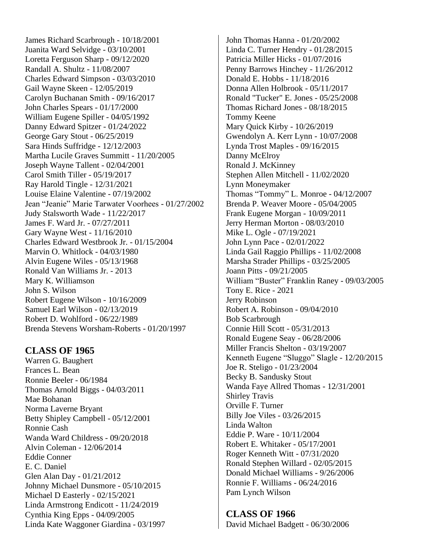James Richard Scarbrough - 10/18/2001 Juanita Ward Selvidge - 03/10/2001 Loretta Ferguson Sharp - 09/12/2020 Randall A. Shultz - 11/08/2007 Charles Edward Simpson - 03/03/2010 Gail Wayne Skeen - 12/05/2019 Carolyn Buchanan Smith - 09/16/2017 John Charles Spears - 01/17/2000 William Eugene Spiller - 04/05/1992 Danny Edward Spitzer - 01/24/2022 George Gary Stout - 06/25/2019 Sara Hinds Suffridge - 12/12/2003 Martha Lucile Graves Summitt - 11/20/2005 Joseph Wayne Tallent - 02/04/2001 Carol Smith Tiller - 05/19/2017 Ray Harold Tingle - 12/31/2021 Louise Elaine Valentine - 07/19/2002 Jean "Jeanie" Marie Tarwater Voorhees - 01/27/2002 Judy Stalsworth Wade - 11/22/2017 James F. Ward Jr. - 07/27/2011 Gary Wayne West - 11/16/2010 Charles Edward Westbrook Jr. - 01/15/2004 Marvin O. Whitlock - 04/03/1980 Alvin Eugene Wiles - 05/13/1968 Ronald Van Williams Jr. - 2013 Mary K. Williamson John S. Wilson Robert Eugene Wilson - 10/16/2009 Samuel Earl Wilson - 02/13/2019 Robert D. Wohlford - 06/22/1989 Brenda Stevens Worsham-Roberts - 01/20/1997

## **CLASS OF 1965**

Warren G. Baughert Frances L. Bean Ronnie Beeler - 06/1984 Thomas Arnold Biggs - 04/03/2011 Mae Bohanan Norma Laverne Bryant Betty Shipley Campbell - 05/12/2001 Ronnie Cash Wanda Ward Childress - 09/20/2018 Alvin Coleman - 12/06/2014 Eddie Conner E. C. Daniel Glen Alan Day - 01/21/2012 Johnny Michael Dunsmore - 05/10/2015 Michael D Easterly - 02/15/2021 Linda Armstrong Endicott - 11/24/2019 Cynthia King Epps - 04/09/2005 Linda Kate Waggoner Giardina - 03/1997

John Thomas Hanna - 01/20/2002 Linda C. Turner Hendry - 01/28/2015 Patricia Miller Hicks - 01/07/2016 Penny Barrows Hinchey - 11/26/2012 Donald E. Hobbs - 11/18/2016 Donna Allen Holbrook - 05/11/2017 Ronald "Tucker" E. Jones - 05/25/2008 Thomas Richard Jones - 08/18/2015 Tommy Keene Mary Quick Kirby - 10/26/2019 Gwendolyn A. Kerr Lynn - 10/07/2008 Lynda Trost Maples - 09/16/2015 Danny McElroy Ronald J. McKinney Stephen Allen Mitchell - 11/02/2020 Lynn Moneymaker Thomas "Tommy" L. Monroe - 04/12/2007 Brenda P. Weaver Moore - 05/04/2005 Frank Eugene Morgan - 10/09/2011 Jerry Herman Morton - 08/03/2010 Mike L. Ogle - 07/19/2021 John Lynn Pace - 02/01/2022 Linda Gail Raggio Phillips - 11/02/2008 Marsha Strader Phillips - 03/25/2005 Joann Pitts - 09/21/2005 William "Buster" Franklin Raney - 09/03/2005 Tony E. Rice - 2021 Jerry Robinson Robert A. Robinson - 09/04/2010 Bob Scarbrough Connie Hill Scott - 05/31/2013 Ronald Eugene Seay - 06/28/2006 Miller Francis Shelton - 03/19/2007 Kenneth Eugene "Sluggo" Slagle - 12/20/2015 Joe R. Steligo - 01/23/2004 Becky B. Sandusky Stout Wanda Faye Allred Thomas - 12/31/2001 Shirley Travis Orville F. Turner Billy Joe Viles - 03/26/2015 Linda Walton Eddie P. Ware - 10/11/2004 Robert E. Whitaker - 05/17/2001 Roger Kenneth Witt - 07/31/2020 Ronald Stephen Willard - 02/05/2015 Donald Michael Williams - 9/26/2006 Ronnie F. Williams - 06/24/2016 Pam Lynch Wilson

**CLASS OF 1966**

David Michael Badgett - 06/30/2006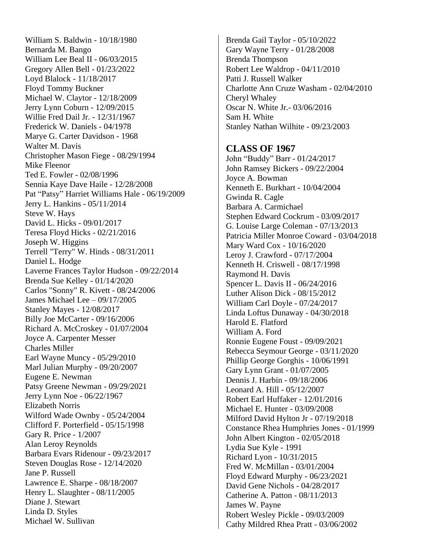William S. Baldwin - 10/18/1980 Bernarda M. Bango William Lee Beal II - 06/03/2015 Gregory Allen Bell - 01/23/2022 Loyd Blalock - 11/18/2017 Floyd Tommy Buckner Michael W. Claytor - 12/18/2009 Jerry Lynn Coburn - 12/09/2015 Willie Fred Dail Jr. - 12/31/1967 Frederick W. Daniels - 04/1978 Marye G. Carter Davidson - 1968 Walter M. Davis Christopher Mason Fiege - 08/29/1994 Mike Fleenor Ted E. Fowler - 02/08/1996 Sennia Kaye Dave Haile - 12/28/2008 Pat "Patsy" Harriet Williams Hale - 06/19/2009 Jerry L. Hankins - 05/11/2014 Steve W. Hays David L. Hicks - 09/01/2017 Teresa Floyd Hicks - 02/21/2016 Joseph W. Higgins Terrell "Terry" W. Hinds - 08/31/2011 Daniel L. Hodge Laverne Frances Taylor Hudson - 09/22/2014 Brenda Sue Kelley - 01/14/2020 Carlos "Sonny" R. Kivett - 08/24/2006 James Michael Lee – 09/17/2005 Stanley Mayes - 12/08/2017 Billy Joe McCarter - 09/16/2006 Richard A. McCroskey - 01/07/2004 Joyce A. Carpenter Messer Charles Miller Earl Wayne Muncy - 05/29/2010 Marl Julian Murphy - 09/20/2007 Eugene E. Newman Patsy Greene Newman - 09/29/2021 Jerry Lynn Noe - 06/22/1967 Elizabeth Norris Wilford Wade Ownby - 05/24/2004 Clifford F. Porterfield - 05/15/1998 Gary R. Price - 1/2007 Alan Leroy Reynolds Barbara Evars Ridenour - 09/23/2017 Steven Douglas Rose - 12/14/2020 Jane P. Russell Lawrence E. Sharpe - 08/18/2007 Henry L. Slaughter - 08/11/2005 Diane J. Stewart Linda D. Styles Michael W. Sullivan

Brenda Gail Taylor - 05/10/2022 Gary Wayne Terry - 01/28/2008 Brenda Thompson Robert Lee Waldrop - 04/11/2010 Patti J. Russell Walker Charlotte Ann Cruze Washam - 02/04/2010 Cheryl Whaley Oscar N. White Jr.- 03/06/2016 Sam H. White Stanley Nathan Wilhite - 09/23/2003

#### **CLASS OF 1967**

John "Buddy" Barr - 01/24/2017 John Ramsey Bickers - 09/22/2004 Joyce A. Bowman Kenneth E. Burkhart - 10/04/2004 Gwinda R. Cagle Barbara A. Carmichael Stephen Edward Cockrum - 03/09/2017 G. Louise Large Coleman - 07/13/2013 Patricia Miller Monroe Coward - 03/04/2018 Mary Ward Cox - 10/16/2020 Leroy J. Crawford - 07/17/2004 Kenneth H. Criswell - 08/17/1998 Raymond H. Davis Spencer L. Davis II - 06/24/2016 Luther Alison Dick - 08/15/2012 William Carl Doyle - 07/24/2017 Linda Loftus Dunaway - 04/30/2018 Harold E. Flatford William A. Ford Ronnie Eugene Foust - 09/09/2021 Rebecca Seymour George - 03/11/2020 Phillip George Gorghis - 10/06/1991 Gary Lynn Grant - 01/07/2005 Dennis J. Harbin - 09/18/2006 Leonard A. Hill - 05/12/2007 Robert Earl Huffaker - 12/01/2016 Michael E. Hunter - 03/09/2008 Milford David Hylton Jr - 07/19/2018 Constance Rhea Humphries Jones - 01/1999 John Albert Kington - 02/05/2018 Lydia Sue Kyle - 1991 Richard Lyon - 10/31/2015 Fred W. McMillan - 03/01/2004 Floyd Edward Murphy - 06/23/2021 David Gene Nichols - 04/28/2017 Catherine A. Patton - 08/11/2013 James W. Payne Robert Wesley Pickle - 09/03/2009 Cathy Mildred Rhea Pratt - 03/06/2002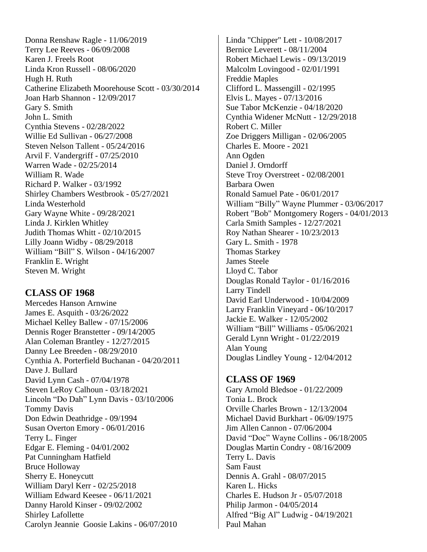Donna Renshaw Ragle - 11/06/2019 Terry Lee Reeves - 06/09/2008 Karen J. Freels Root Linda Kron Russell - 08/06/2020 Hugh H. Ruth Catherine Elizabeth Moorehouse Scott - 03/30/2014 Joan Harb Shannon - 12/09/2017 Gary S. Smith John L. Smith Cynthia Stevens - 02/28/2022 Willie Ed Sullivan - 06/27/2008 Steven Nelson Tallent - 05/24/2016 Arvil F. Vandergriff - 07/25/2010 Warren Wade - 02/25/2014 William R. Wade Richard P. Walker - 03/1992 Shirley Chambers Westbrook - 05/27/2021 Linda Westerhold Gary Wayne White - 09/28/2021 Linda J. Kirklen Whitley Judith Thomas Whitt - 02/10/2015 Lilly Joann Widby - 08/29/2018 William "Bill" S. Wilson - 04/16/2007 Franklin E. Wright Steven M. Wright

## **CLASS OF 1968**

Mercedes Hanson Arnwine James E. Asquith - 03/26/2022 Michael Kelley Ballew - 07/15/2006 Dennis Roger Branstetter - 09/14/2005 Alan Coleman Brantley - 12/27/2015 Danny Lee Breeden - 08/29/2010 Cynthia A. Porterfield Buchanan - 04/20/2011 Dave J. Bullard David Lynn Cash - 07/04/1978 Steven LeRoy Calhoun - 03/18/2021 Lincoln "Do Dah" Lynn Davis - 03/10/2006 Tommy Davis Don Edwin Deathridge - 09/1994 Susan Overton Emory - 06/01/2016 Terry L. Finger Edgar E. Fleming - 04/01/2002 Pat Cunningham Hatfield Bruce Holloway Sherry E. Honeycutt William Daryl Kerr - 02/25/2018 William Edward Keesee - 06/11/2021 Danny Harold Kinser - 09/02/2002 Shirley Lafollette Carolyn Jeannie Goosie Lakins - 06/07/2010

Linda "Chipper" Lett - 10/08/2017 Bernice Leverett - 08/11/2004 Robert Michael Lewis - 09/13/2019 Malcolm Lovingood - 02/01/1991 Freddie Maples Clifford L. Massengill - 02/1995 Elvis L. Mayes - 07/13/2016 Sue Tabor McKenzie - 04/18/2020 Cynthia Widener McNutt - 12/29/2018 Robert C. Miller Zoe Driggers Milligan - 02/06/2005 Charles E. Moore - 2021 Ann Ogden Daniel J. Orndorff Steve Troy Overstreet - 02/08/2001 Barbara Owen Ronald Samuel Pate - 06/01/2017 William "Billy" Wayne Plummer - 03/06/2017 Robert "Bob" Montgomery Rogers - 04/01/2013 Carla Smith Samples - 12/27/2021 Roy Nathan Shearer - 10/23/2013 Gary L. Smith - 1978 Thomas Starkey James Steele Lloyd C. Tabor Douglas Ronald Taylor - 01/16/2016 Larry Tindell David Earl Underwood - 10/04/2009 Larry Franklin Vineyard - 06/10/2017 Jackie E. Walker - 12/05/2002 William "Bill" Williams - 05/06/2021 Gerald Lynn Wright - 01/22/2019 Alan Young Douglas Lindley Young - 12/04/2012

## **CLASS OF 1969**

Gary Arnold Bledsoe - 01/22/2009 Tonia L. Brock Orville Charles Brown - 12/13/2004 Michael David Burkhart - 06/09/1975 Jim Allen Cannon - 07/06/2004 David "Doc" Wayne Collins - 06/18/2005 Douglas Martin Condry - 08/16/2009 Terry L. Davis Sam Faust Dennis A. Grahl - 08/07/2015 Karen L. Hicks Charles E. Hudson Jr - 05/07/2018 Philip Jarmon - 04/05/2014 Alfred "Big Al" Ludwig - 04/19/2021 Paul Mahan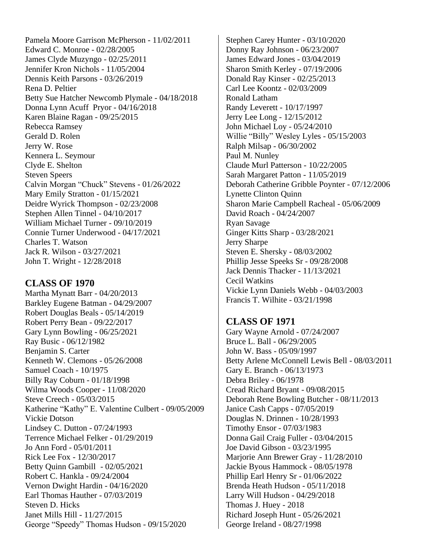Pamela Moore Garrison McPherson - 11/02/2011 Edward C. Monroe - 02/28/2005 James Clyde Muzyngo - 02/25/2011 Jennifer Kron Nichols - 11/05/2004 Dennis Keith Parsons - 03/26/2019 Rena D. Peltier Betty Sue Hatcher Newcomb Plymale - 04/18/2018 Donna Lynn Acuff Pryor - 04/16/2018 Karen Blaine Ragan - 09/25/2015 Rebecca Ramsey Gerald D. Rolen Jerry W. Rose Kennera L. Seymour Clyde E. Shelton Steven Speers Calvin Morgan "Chuck" Stevens - 01/26/2022 Mary Emily Stratton - 01/15/2021 Deidre Wyrick Thompson - 02/23/2008 Stephen Allen Tinnel - 04/10/2017 William Michael Turner - 09/10/2019 Connie Turner Underwood - 04/17/2021 Charles T. Watson Jack R. Wilson - 03/27/2021 John T. Wright - 12/28/2018

## **CLASS OF 1970**

Martha Mynatt Barr - 04/20/2013 Barkley Eugene Batman - 04/29/2007 Robert Douglas Beals - 05/14/2019 Robert Perry Bean - 09/22/2017 Gary Lynn Bowling - 06/25/2021 Ray Busic - 06/12/1982 Benjamin S. Carter Kenneth W. Clemons - 05/26/2008 Samuel Coach - 10/1975 Billy Ray Coburn - 01/18/1998 Wilma Woods Cooper - 11/08/2020 Steve Creech - 05/03/2015 Katherine "Kathy" E. Valentine Culbert - 09/05/2009 Vickie Dotson Lindsey C. Dutton - 07/24/1993 Terrence Michael Felker - 01/29/2019 Jo Ann Ford - 05/01/2011 Rick Lee Fox - 12/30/2017 Betty Quinn Gambill - 02/05/2021 Robert C. Hankla - 09/24/2004 Vernon Dwight Hardin - 04/16/2020 Earl Thomas Hauther - 07/03/2019 Steven D. Hicks Janet Mills Hill - 11/27/2015 George "Speedy" Thomas Hudson - 09/15/2020

Stephen Carey Hunter - 03/10/2020 Donny Ray Johnson - 06/23/2007 James Edward Jones - 03/04/2019 Sharon Smith Kerley - 07/19/2006 Donald Ray Kinser - 02/25/2013 Carl Lee Koontz - 02/03/2009 Ronald Latham Randy Leverett - 10/17/1997 Jerry Lee Long - 12/15/2012 John Michael Loy - 05/24/2010 Willie "Billy" Wesley Lyles - 05/15/2003 Ralph Milsap - 06/30/2002 Paul M. Nunley Claude Murl Patterson - 10/22/2005 Sarah Margaret Patton - 11/05/2019 Deborah Catherine Gribble Poynter - 07/12/2006 Lynette Clinton Quinn Sharon Marie Campbell Racheal - 05/06/2009 David Roach - 04/24/2007 Ryan Savage Ginger Kitts Sharp - 03/28/2021 Jerry Sharpe Steven E. Shersky - 08/03/2002 Phillip Jesse Speeks Sr - 09/28/2008 Jack Dennis Thacker - 11/13/2021 Cecil Watkins Vickie Lynn Daniels Webb - 04/03/2003 Francis T. Wilhite - 03/21/1998

## **CLASS OF 1971**

Gary Wayne Arnold - 07/24/2007 Bruce L. Ball - 06/29/2005 John W. Bass - 05/09/1997 Betty Arlene McConnell Lewis Bell - 08/03/2011 Gary E. Branch - 06/13/1973 Debra Briley - 06/1978 Cread Richard Bryant - 09/08/2015 Deborah Rene Bowling Butcher - 08/11/2013 Janice Cash Capps - 07/05/2019 Douglas N. Drinnen - 10/28/1993 Timothy Ensor - 07/03/1983 Donna Gail Craig Fuller - 03/04/2015 Joe David Gibson - 03/23/1995 Marjorie Ann Brewer Gray - 11/28/2010 Jackie Byous Hammock - 08/05/1978 Phillip Earl Henry Sr - 01/06/2022 Brenda Heath Hudson - 05/11/2018 Larry Will Hudson - 04/29/2018 Thomas J. Huey - 2018 Richard Joseph Hunt - 05/26/2021 George Ireland - 08/27/1998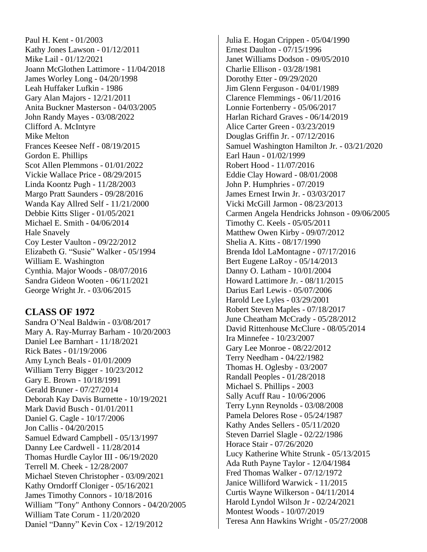Paul H. Kent - 01/2003 Kathy Jones Lawson - 01/12/2011 Mike Lail - 01/12/2021 Joann McGlothen Lattimore - 11/04/2018 James Worley Long - 04/20/1998 Leah Huffaker Lufkin - 1986 Gary Alan Majors - 12/21/2011 Anita Buckner Masterson - 04/03/2005 John Randy Mayes - 03/08/2022 Clifford A. McIntyre Mike Melton Frances Keesee Neff - 08/19/2015 Gordon E. Phillips Scot Allen Plemmons - 01/01/2022 Vickie Wallace Price - 08/29/2015 Linda Koontz Pugh - 11/28/2003 Margo Pratt Saunders - 09/28/2016 Wanda Kay Allred Self - 11/21/2000 Debbie Kitts Sliger - 01/05/2021 Michael E. Smith - 04/06/2014 Hale Snavely Coy Lester Vaulton - 09/22/2012 Elizabeth G. "Susie" Walker - 05/1994 William E. Washington Cynthia. Major Woods - 08/07/2016 Sandra Gideon Wooten - 06/11/2021 George Wright Jr. - 03/06/2015

## **CLASS OF 1972**

Sandra O'Neal Baldwin - 03/08/2017 Mary A. Ray-Murray Barham - 10/20/2003 Daniel Lee Barnhart - 11/18/2021 Rick Bates - 01/19/2006 Amy Lynch Beals - 01/01/2009 William Terry Bigger - 10/23/2012 Gary E. Brown - 10/18/1991 Gerald Bruner - 07/27/2014 Deborah Kay Davis Burnette - 10/19/2021 Mark David Busch - 01/01/2011 Daniel G. Cagle - 10/17/2006 Jon Callis - 04/20/2015 Samuel Edward Campbell - 05/13/1997 Danny Lee Cardwell - 11/28/2014 Thomas Hurdle Caylor III - 06/19/2020 Terrell M. Cheek - 12/28/2007 Michael Steven Christopher - 03/09/2021 Kathy Orndorff Cloniger - 05/16/2021 James Timothy Connors - 10/18/2016 William "Tony" Anthony Connors - 04/20/2005 William Tate Corum - 11/20/2020 Daniel "Danny" Kevin Cox - 12/19/2012

Julia E. Hogan Crippen - 05/04/1990 Ernest Daulton - 07/15/1996 Janet Williams Dodson - 09/05/2010 Charlie Ellison - 03/28/1981 Dorothy Etter - 09/29/2020 Jim Glenn Ferguson - 04/01/1989 Clarence Flemmings - 06/11/2016 Lonnie Fortenberry - 05/06/2017 Harlan Richard Graves - 06/14/2019 Alice Carter Green - 03/23/2019 Douglas Griffin Jr. - 07/12/2016 Samuel Washington Hamilton Jr. - 03/21/2020 Earl Haun - 01/02/1999 Robert Hood - 11/07/2016 Eddie Clay Howard - 08/01/2008 John P. Humphries - 07/2019 James Ernest Irwin Jr. - 03/03/2017 Vicki McGill Jarmon - 08/23/2013 Carmen Angela Hendricks Johnson - 09/06/2005 Timothy C. Keels - 05/05/2011 Matthew Owen Kirby - 09/07/2012 Shelia A. Kitts - 08/17/1990 Brenda Idol LaMontagne - 07/17/2016 Bert Eugene LaRoy - 05/14/2013 Danny O. Latham - 10/01/2004 Howard Lattimore Jr. - 08/11/2015 Darius Earl Lewis - 05/07/2006 Harold Lee Lyles - 03/29/2001 Robert Steven Maples - 07/18/2017 June Cheatham McCrady - 05/28/2012 David Rittenhouse McClure - 08/05/2014 Ira Minnefee - 10/23/2007 Gary Lee Monroe - 08/22/2012 Terry Needham - 04/22/1982 Thomas H. Oglesby - 03/2007 Randall Peoples - 01/28/2018 Michael S. Phillips - 2003 Sally Acuff Rau - 10/06/2006 Terry Lynn Reynolds - 03/08/2008 Pamela Delores Rose - 05/24/1987 Kathy Andes Sellers - 05/11/2020 Steven Darriel Slagle - 02/22/1986 Horace Stair - 07/26/2020 Lucy Katherine White Strunk - 05/13/2015 Ada Ruth Payne Taylor - 12/04/1984 Fred Thomas Walker - 07/12/1972 Janice Williford Warwick - 11/2015 Curtis Wayne Wilkerson - 04/11/2014 Harold Lyndol Wilson Jr - 02/24/2021 Montest Woods - 10/07/2019 Teresa Ann Hawkins Wright - 05/27/2008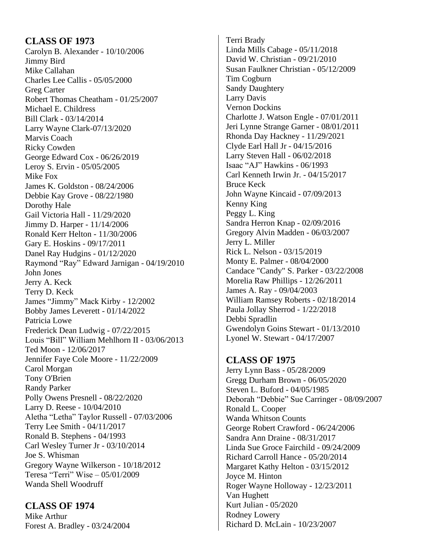#### **CLASS OF 1973** Carolyn B. Alexander - 10/10/2006 Jimmy Bird Mike Callahan Charles Lee Callis - 05/05/2000 Greg Carter Robert Thomas Cheatham - 01/25/2007 Michael E. Childress Bill Clark - 03/14/2014 Larry Wayne Clark-07/13/2020 Marvis Coach Ricky Cowden George Edward Cox - 06/26/2019 Leroy S. Ervin - 05/05/2005 Mike Fox James K. Goldston - 08/24/2006 Debbie Kay Grove - 08/22/1980 Dorothy Hale Gail Victoria Hall - 11/29/2020 Jimmy D. Harper - 11/14/2006 Ronald Kerr Helton - 11/30/2006 Gary E. Hoskins - 09/17/2011 Danel Ray Hudgins - 01/12/2020 Raymond "Ray" Edward Jarnigan - 04/19/2010 John Jones Jerry A. Keck Terry D. Keck James "Jimmy" Mack Kirby - 12/2002 Bobby James Leverett - 01/14/2022 Patricia Lowe Frederick Dean Ludwig - 07/22/2015 Louis "Bill" William Mehlhorn II - 03/06/2013 Ted Moon - 12/06/2017 Jennifer Faye Cole Moore - 11/22/2009 Carol Morgan Tony O'Brien Randy Parker Polly Owens Presnell - 08/22/2020 Larry D. Reese - 10/04/2010 Aletha "Letha" Taylor Russell - 07/03/2006 Terry Lee Smith - 04/11/2017 Ronald B. Stephens - 04/1993 Carl Wesley Turner Jr - 03/10/2014 Joe S. Whisman Gregory Wayne Wilkerson - 10/18/2012 Teresa "Terri" Wise – 05/01/2009 Wanda Shell Woodruff

**CLASS OF 1974** Mike Arthur Forest A. Bradley - 03/24/2004

Terri Brady Linda Mills Cabage - 05/11/2018 David W. Christian - 09/21/2010 Susan Faulkner Christian - 05/12/2009 Tim Cogburn Sandy Daughtery Larry Davis Vernon Dockins Charlotte J. Watson Engle - 07/01/2011 Jeri Lynne Strange Garner - 08/01/2011 Rhonda Day Hackney - 11/29/2021 Clyde Earl Hall Jr - 04/15/2016 Larry Steven Hall - 06/02/2018 Isaac "AJ" Hawkins - 06/1993 Carl Kenneth Irwin Jr. - 04/15/2017 Bruce Keck John Wayne Kincaid - 07/09/2013 Kenny King Peggy L. King Sandra Herron Knap - 02/09/2016 Gregory Alvin Madden - 06/03/2007 Jerry L. Miller Rick L. Nelson - 03/15/2019 Monty E. Palmer - 08/04/2000 Candace "Candy" S. Parker - 03/22/2008 Morelia Raw Phillips - 12/26/2011 James A. Ray - 09/04/2003 William Ramsey Roberts - 02/18/2014 Paula Jollay Sherrod - 1/22/2018 Debbi Spradlin Gwendolyn Goins Stewart - 01/13/2010 Lyonel W. Stewart - 04/17/2007

**CLASS OF 1975** Jerry Lynn Bass - 05/28/2009 Gregg Durham Brown - 06/05/2020 Steven L. Buford - 04/05/1985 Deborah "Debbie" Sue Carringer - 08/09/2007 Ronald L. Cooper Wanda Whitson Counts George Robert Crawford - 06/24/2006 Sandra Ann Draine - 08/31/2017 Linda Sue Groce Fairchild - 09/24/2009 Richard Carroll Hance - 05/20/2014 Margaret Kathy Helton - 03/15/2012 Joyce M. Hinton Roger Wayne Holloway - 12/23/2011 Van Hughett Kurt Julian - 05/2020 Rodney Lowery Richard D. McLain - 10/23/2007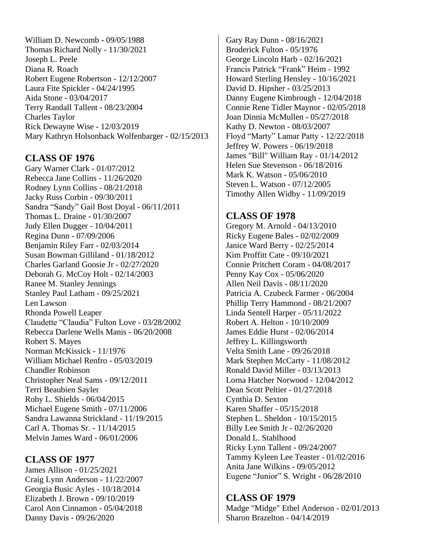William D. Newcomb - 09/05/1988 Thomas Richard Nolly - 11/30/2021 Joseph L. Peele Diana R. Roach Robert Eugene Robertson - 12/12/2007 Laura Fite Spickler - 04/24/1995 Aida Stone - 03/04/2017 Terry Randall Tallent - 08/23/2004 Charles Taylor Rick Dewayne Wise - 12/03/2019 Mary Kathryn Holsonback Wolfenbarger - 02/15/2013

## **CLASS OF 1976**

Gary Warner Clark - 01/07/2012 Rebecca Jane Collins - 11/26/2020 Rodney Lynn Collins - 08/21/2018 Jacky Russ Corbin - 09/30/2011 Sandra "Sandy" Gail Bost Doyal - 06/11/2011 Thomas L. Draine - 01/30/2007 Judy Ellen Dugger - 10/04/2011 Regina Dunn - 07/09/2006 Benjamin Riley Farr - 02/03/2014 Susan Bowman Gilliland - 01/18/2012 Charles Garland Goosie Jr - 02/27/2020 Deborah G. McCoy Holt - 02/14/2003 Ranee M. Stanley Jennings Stanley Paul Latham - 09/25/2021 Len Lawson Rhonda Powell Leaper Claudette "Claudia" Fulton Love - 03/28/2002 Rebecca Darlene Wells Manis - 06/20/2008 Robert S. Mayes Norman McKissick - 11/1976 William Michael Renfro - 05/03/2019 Chandler Robinson Christopher Neal Sams - 09/12/2011 Terri Beaubien Sayler Roby L. Shields - 06/04/2015 Michael Eugene Smith - 07/11/2006 Sandra Lawanna Strickland - 11/19/2015 Carl A. Thomas Sr. - 11/14/2015 Melvin James Ward - 06/01/2006

#### **CLASS OF 1977** James Allison - 01/25/2021

Craig Lynn Anderson - 11/22/2007 Georgia Busic Ayles - 10/18/2014 Elizabeth J. Brown - 09/10/2019 Carol Ann Cinnamon - 05/04/2018 Danny Davis - 09/26/2020

Gary Ray Dunn - 08/16/2021 Broderick Fulton - 05/1976 George Lincoln Harb - 02/16/2021 Francis Patrick "Frank" Heim - 1992 Howard Sterling Hensley - 10/16/2021 David D. Hipsher - 03/25/2013 Danny Eugene Kimbrough - 12/04/2018 Connie Rene Tidler Maynor - 02/05/2018 Joan Dinnia McMullen - 05/27/2018 Kathy D. Newton - 08/03/2007 Floyd "Marty" Lamar Patty - 12/22/2018 Jeffrey W. Powers - 06/19/2018 James "Bill" William Ray - 01/14/2012 Helen Sue Stevenson - 06/18/2016 Mark K. Watson - 05/06/2010 Steven L. Watson - 07/12/2005 Timothy Allen Widby - 11/09/2019

## **CLASS OF 1978**

Gregory M. Arnold - 04/13/2010 Ricky Eugene Bales - 02/02/2009 Janice Ward Berry - 02/25/2014 Kim Proffitt Cate - 09/10/2021 Connie Pritchett Coram - 04/08/2017 Penny Kay Cox - 05/06/2020 Allen Neil Davis - 08/11/2020 Patricia A. Czubeck Farmer - 06/2004 Phillip Terry Hammond - 08/21/2007 Linda Sentell Harper - 05/11/2022 Robert A. Helton - 10/10/2009 James Eddie Hurst - 02/06/2014 Jeffrey L. Killingsworth Velta Smith Lane - 09/26/2018 Mark Stephen McCarty - 11/08/2012 Ronald David Miller - 03/13/2013 Lorna Hatcher Norwood - 12/04/2012 Dean Scott Peltier - 01/27/2018 Cynthia D. Sexton Karen Shaffer - 05/15/2018 Stephen L. Sheldon - 10/15/2015 Billy Lee Smith Jr - 02/26/2020 Donald L. Stahlhood Ricky Lynn Tallent - 09/24/2007 Tammy Kyleen Lee Teaster - 01/02/2016 Anita Jane Wilkins - 09/05/2012 Eugene "Junior" S. Wright - 06/28/2010

## **CLASS OF 1979**

Madge "Midge" Ethel Anderson - 02/01/2013 Sharon Brazelton - 04/14/2019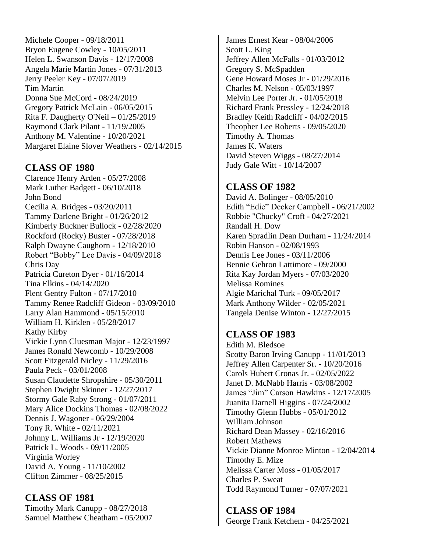Michele Cooper - 09/18/2011 Bryon Eugene Cowley - 10/05/2011 Helen L. Swanson Davis - 12/17/2008 Angela Marie Martin Jones - 07/31/2013 Jerry Peeler Key - 07/07/2019 Tim Martin Donna Sue McCord - 08/24/2019 Gregory Patrick McLain - 06/05/2015 Rita F. Daugherty O'Neil – 01/25/2019 Raymond Clark Pilant - 11/19/2005 Anthony M. Valentine - 10/20/2021 Margaret Elaine Slover Weathers - 02/14/2015

## **CLASS OF 1980**

Clarence Henry Arden - 05/27/2008 Mark Luther Badgett - 06/10/2018 John Bond Cecilia A. Bridges - 03/20/2011 Tammy Darlene Bright - 01/26/2012 Kimberly Buckner Bullock - 02/28/2020 Rockford (Rocky) Buster - 07/28/2018 Ralph Dwayne Caughorn - 12/18/2010 Robert "Bobby" Lee Davis - 04/09/2018 Chris Day Patricia Cureton Dyer - 01/16/2014 Tina Elkins - 04/14/2020 Flent Gentry Fulton - 07/17/2010 Tammy Renee Radcliff Gideon - 03/09/2010 Larry Alan Hammond - 05/15/2010 William H. Kirklen - 05/28/2017 Kathy Kirby Vickie Lynn Cluesman Major - 12/23/1997 James Ronald Newcomb - 10/29/2008 Scott Fitzgerald Nicley - 11/29/2016 Paula Peck - 03/01/2008 Susan Claudette Shropshire - 05/30/2011 Stephen Dwight Skinner - 12/27/2017 Stormy Gale Raby Strong - 01/07/2011 Mary Alice Dockins Thomas - 02/08/2022 Dennis J. Wagoner - 06/29/2004 Tony R. White - 02/11/2021 Johnny L. Williams Jr - 12/19/2020 Patrick L. Woods - 09/11/2005 Virginia Worley David A. Young - 11/10/2002 Clifton Zimmer - 08/25/2015

**CLASS OF 1981** Timothy Mark Canupp - 08/27/2018 Samuel Matthew Cheatham - 05/2007

James Ernest Kear - 08/04/2006 Scott L. King Jeffrey Allen McFalls - 01/03/2012 Gregory S. McSpadden Gene Howard Moses Jr - 01/29/2016 Charles M. Nelson - 05/03/1997 Melvin Lee Porter Jr. - 01/05/2018 Richard Frank Pressley - 12/24/2018 Bradley Keith Radcliff - 04/02/2015 Theopher Lee Roberts - 09/05/2020 Timothy A. Thomas James K. Waters David Steven Wiggs - 08/27/2014 Judy Gale Witt - 10/14/2007

## **CLASS OF 1982**

David A. Bolinger - 08/05/2010 Edith "Edie" Decker Campbell - 06/21/2002 Robbie "Chucky" Croft - 04/27/2021 Randall H. Dow Karen Spradlin Dean Durham - 11/24/2014 Robin Hanson - 02/08/1993 Dennis Lee Jones - 03/11/2006 Bennie Gehron Lattimore - 09/2000 Rita Kay Jordan Myers - 07/03/2020 Melissa Romines Algie Marichal Turk - 09/05/2017 Mark Anthony Wilder - 02/05/2021 Tangela Denise Winton - 12/27/2015

## **CLASS OF 1983**

Edith M. Bledsoe Scotty Baron Irving Canupp - 11/01/2013 Jeffrey Allen Carpenter Sr. - 10/20/2016 Carols Hubert Cronas Jr. - 02/05/2022 Janet D. McNabb Harris - 03/08/2002 James "Jim" Carson Hawkins - 12/17/2005 Juanita Darnell Higgins - 07/24/2002 Timothy Glenn Hubbs - 05/01/2012 William Johnson Richard Dean Massey - 02/16/2016 Robert Mathews Vickie Dianne Monroe Minton - 12/04/2014 Timothy E. Mize Melissa Carter Moss - 01/05/2017 Charles P. Sweat Todd Raymond Turner - 07/07/2021

**CLASS OF 1984** George Frank Ketchem - 04/25/2021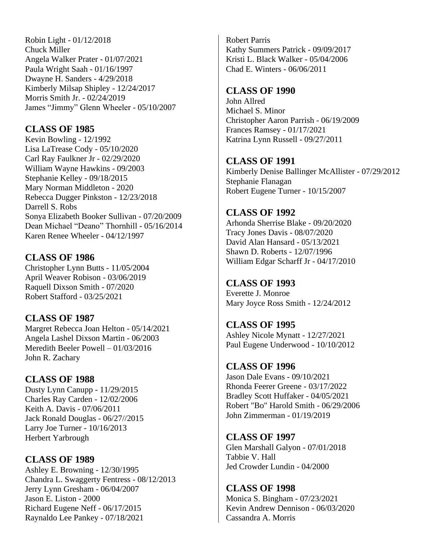Robin Light - 01/12/2018 Chuck Miller Angela Walker Prater - 01/07/2021 Paula Wright Saah - 01/16/1997 Dwayne H. Sanders - 4/29/2018 Kimberly Milsap Shipley - 12/24/2017 Morris Smith Jr. - 02/24/2019 James "Jimmy" Glenn Wheeler - 05/10/2007

## **CLASS OF 1985**

Kevin Bowling - 12/1992 Lisa LaTrease Cody - 05/10/2020 Carl Ray Faulkner Jr - 02/29/2020 William Wayne Hawkins - 09/2003 Stephanie Kelley - 09/18/2015 Mary Norman Middleton - 2020 Rebecca Dugger Pinkston - 12/23/2018 Darrell S. Robs Sonya Elizabeth Booker Sullivan - 07/20/2009 Dean Michael "Deano" Thornhill - 05/16/2014 Karen Renee Wheeler - 04/12/1997

**CLASS OF 1986** Christopher Lynn Butts - 11/05/2004 April Weaver Robison - 03/06/2019

Raquell Dixson Smith - 07/2020 Robert Stafford - 03/25/2021

## **CLASS OF 1987**

Margret Rebecca Joan Helton - 05/14/2021 Angela Lashel Dixson Martin - 06/2003 Meredith Beeler Powell – 01/03/2016 John R. Zachary

**CLASS OF 1988**

Dusty Lynn Canupp - 11/29/2015 Charles Ray Carden - 12/02/2006 Keith A. Davis - 07/06/2011 Jack Ronald Douglas - 06/27//2015 Larry Joe Turner - 10/16/2013 Herbert Yarbrough

**CLASS OF 1989** Ashley E. Browning - 12/30/1995 Chandra L. Swaggerty Fentress - 08/12/2013 Jerry Lynn Gresham - 06/04/2007 Jason E. Liston - 2000 Richard Eugene Neff - 06/17/2015 Raynaldo Lee Pankey - 07/18/2021

Robert Parris Kathy Summers Patrick - 09/09/2017 Kristi L. Black Walker - 05/04/2006 Chad E. Winters - 06/06/2011

#### **CLASS OF 1990**

John Allred Michael S. Minor Christopher Aaron Parrish - 06/19/2009 Frances Ramsey - 01/17/2021 Katrina Lynn Russell - 09/27/2011

## **CLASS OF 1991**

Kimberly Denise Ballinger McAllister - 07/29/2012 Stephanie Flanagan Robert Eugene Turner - 10/15/2007

## **CLASS OF 1992**

Arhonda Sherrise Blake - 09/20/2020 Tracy Jones Davis - 08/07/2020 David Alan Hansard - 05/13/2021 Shawn D. Roberts - 12/07/1996 William Edgar Scharff Jr - 04/17/2010

#### **CLASS OF 1993**

Everette J. Monroe Mary Joyce Ross Smith - 12/24/2012

**CLASS OF 1995** Ashley Nicole Mynatt - 12/27/2021 Paul Eugene Underwood - 10/10/2012

**CLASS OF 1996** Jason Dale Evans - 09/10/2021 Rhonda Feerer Greene - 03/17/2022 Bradley Scott Huffaker - 04/05/2021 Robert "Bo" Harold Smith - 06/29/2006 John Zimmerman - 01/19/2019

**CLASS OF 1997** Glen Marshall Galyon - 07/01/2018 Tabbie V. Hall Jed Crowder Lundin - 04/2000

**CLASS OF 1998** Monica S. Bingham - 07/23/2021 Kevin Andrew Dennison - 06/03/2020 Cassandra A. Morris